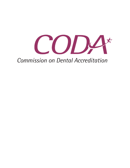

# **Commission on Dental Accreditation**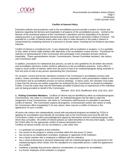

#### **Conflict of Interest Policy**

Evaluation policies and procedures used in the accreditation process provide a system of checks and balances regarding the fairness and impartiality in all aspects of the accreditation process. Central to the fairness of the procedural aspects of the Commission's operations and the impartiality of its decision making process is an organizational and personal duty to avoid real or perceived conflicts of interest. The potential for a conflict of interest arises when one's duty to make decisions in the public's interest is compromised by competing interests of a personal or private nature, including but not limited to pecuniary interests.

Conflict of interest is considered to be: 1) any relationship with an institution or program, or 2) a partiality or bias, either of which might interfere with objectivity in the accreditation review process. Procedures for selection of representatives of the Commission who participate in the evaluation process reinforce impartiality. These representatives include: Commissioners, Review Committee members, site visitors, and Commission staff.

In addition, procedures for institutional due process, as well as strict guidelines for all written documents and accreditation decisions, further reinforce adherence to fair accreditation practices. Every effort is made to avoid conflict of interest, either from the point of view of an institution/program being reviewed or from the point of view of any person representing the Commission.

On occasion, current and former volunteers involved in the Commission's accreditation process (site visitors, review committee members, commissioners) are requested to make presentations related to the Commission and its accreditation process at various meetings. In these cases, the volunteer must make it clear that the services are neither supported nor endorsed by the Commission on Dental Accreditation. Further, it must be made clear that the information provided is based only on experiences of the individual and not being provided on behalf of the Commission.

Revised: 8/15; 8/14; Reaffirmed: 8/18; 2/18; 8/12, 8/10

**1. Visiting Committee Members:** Conflicts of interest may be identified by either an institution/program, Commissioner, site visitor or Commission staff. An institution/program has the right to reject the assignment of any Commissioner, site visitor or Commission staff because of a possible or perceived conflict of interest. The Commission expects all programs, Commissioners and/or site visitors to notify the Commission office immediately if, for any reason, there may be a conflict of interest or the appearance of such a conflict.

All active site visitors who independently consult with educational programs accredited by CODA or applying for accreditation must identify all consulting roles to the Commission and must file with the Commission a letter of conflict acknowledgement signed by themselves and the institution/program with whom they consulted. All conflict of interest policies as noted elsewhere in this document apply. Contact the CODA office for the appropriate conflict of interest declaration form. Conflicts of interest include, but are not limited to, a site visitor who:

- is a graduate of a program at the institution;
- has served on the program's visiting committee within the last seven (7) years;
- has served as an independent consultant, employee or appointee of the institution;
- has a family member who is employed or affiliated with the institution;
- has a close professional or personal relationship with the institution/program or key personnel in the institution/program which would, from the standpoint of a reasonable person, create the appearance of a conflict;
- manifests a partiality that prevents objective consideration of a program for accreditation;
- is a former employee of the institution or program;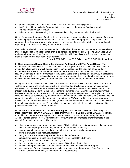

- previously applied for a position at the institution within the last five (5) years;
- is affiliated with an institution/program in the same state as the program's primary location;
- is a resident of the state; and/or
- is in the process of considering, interviewing and/or hiring key personnel at the institution.

Note: Because of the nature of their positions, a state board representative will be a resident of the state in which a program is located and may be a graduate of the institution/program being visited. These components of the policy do not apply for state board representatives, although the program retains the right to reject an individual's assignment for other reasons.

If an institutional administrator, faculty member or site visitor has doubt as to whether or not a conflict of interest could exist, Commission staff should be consulted prior to the site visit. The Chair, Vice-Chair and a public member of the Commission, in consultation with Commission staff and legal counsel, may make a final determination about such conflicts.

Revised: 2/21; 8/18; 2/18; 2/16; 8/14; 1/14; 2/13; 8/10; Reaffirmed: 8/12

**2. Commissioners, Review Committee Members And Members Of The Appeal Board:** The Commission firmly believes that conflict of interest or the appearance of a conflict of interest must be avoided in all situations in which accreditation recommendations or decisions are being made by Commissioners, Review Committee members, or members of the Appeal Board. No Commissioner, Review Committee member, or member of the Appeal Board should participate in any way in accrediting decisions in which he or she has a financial or personal interest or, because of an institutional or program association, has divided loyalties and/or has a conflict of interest on the outcome of the decision.

During the term of service as a Review Committee member, these individuals should not serve as site visitors for an actual accreditation site visit to an accredited or developing program, unless deemed necessary. Two instances when a review committee member could serve on a site visit include: 1) an inability to find a site visitor from the comprehensive site visitor list, or 2) when the review committee believes a member should attend a visit for consistency in the review process. This applies only to site visits that would be considered by the same review committee on which the site visitor is serving. Review committee members may not independently consult with a CODA-accredited program or a program applying for CODA accreditation. In addition, review committee members may not serve as a site visitor for mock accreditation purposes. These policies help avoid conflict of interest in the decision making process and minimize the need for recusals.

During the term of service as a commissioner or appeal board member, these individuals may not independently consult with a CODA-accredited program or a program applying for CODA accreditation. In addition, Commissioners or appeal board may not serve on a site visit team during their terms. Areas of conflict of interest for Commissioners, Review Committee members and/or members of the Appeal Board include, but are not limited to:

- close professional or personal relationships or affiliation with the institution/program or key personnel in the institution/program which may create the appearance of a conflict;
- serving as an independent consultant or mock site visitor to the institution/program;
- being a graduate of the institution/program;
- being a current employee or appointee of the institution/program;
- previously applied for a position at the institution within the last five (5) years;
- being a current student at the institution/program:
- having a family member who is employed by or affiliated with the institution;
- manifesting a professional or personal interest at odds with the institution or program;
- key personnel of the institution/program having graduated from the program of the Commissioner, Review Committee member, or member of the Appeal Board;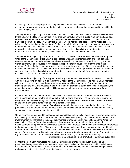

- having served on the program's visiting committee within the last seven (7) years; and/or
- no longer a current employee of the institution or program but having been employed there within the past ten (10) years.

To safeguard the objectivity of the Review Committees, conflict of interest determinations shall be made by the Chair of the Review Committee. If the Chair, in consultation with a public member, staff and legal counsel, determines that a Review Committee member has a conflict of interest in connection with a particular program, the Review Committee member will be instructed to not access the report either in advance of or at the time of the meeting. Further, the individual must leave the room when they have any of the above conflicts. In cases in which the existence of a conflict of interest is less obvious, it is the responsibility of any committee member who feels that a potential conflict of interest exists to absent himself/herself from the room during the discussion of the particular accreditation report.

To safeguard the objectivity of the Commission, conflict of interest determinations shall be made by the Chair of the Commission. If the Chair, in consultation with a public member, staff and legal counsel, determines that a Commissioner has a conflict of interest in connection with a particular program, the Commissioner will be instructed to not access the report either in advance of or at the time of the meeting. Further, the individual must leave the room when they have any of the above conflicts. In cases in which the existence of a conflict of interest is less obvious, it is the responsibility of any Commissioner who feels that a potential conflict of interest exists to absent himself/herself from the room during the discussion of the particular accreditation report.

To safeguard the objectivity of the Appeal Board, any member who has a conflict of interest in connection with a program filing an appeal must inform the Director of the Commission. The Appeal Board member will be instructed to not access the report for that program either in advance of or at the time of the meeting, and the individual must leave the room when the program is being discussed. If necessary, the respective representative organization will be contacted to identify a temporary replacement Appeal Board member.

Conflicts of interest for Commissioners, Review Committee members and members of the Appeal Board may also include being from the same state, but not the same program. The Commission is aware that being from the same state may not itself be a conflict; however, when residence within the same state is in addition to any of the items listed above, a conflict would exist.

This provision refers to the concept of conflict of interest in the context of accreditation decisions. The prohibitions and limitations are not intended to exclude participation and decision-making in other areas, such as policy development and standard setting.

Commissioners are expected to evaluate each accreditation action, policy decision or standard adoption for the overall good of the public. The American Dental Association (ADA) Constitution and Bylaws limits the involvement of the members of the ADA, the American Dental Education Association and the American Association of Dental Boards in areas beyond the organization that appointed them. Although Commissioners are appointed by designated communities of interest, their duty of loyalty is first and foremost to the Commission. A conflict of interest exists when a Commissioner holds appointment as an officer in another organization within the Commission's communities of interest. Therefore, a conflict of interest exists when a Commissioner or a Commissioner-designee provides simultaneous service to the Commission and an organization within the communities of interest. (Refer to Policy on Simultaneous Service)

Revised: 2/21; 8/16; 2/16; 2/15; 8/14; 1/14, 8/10; Reaffirmed: 8/18; 8/12

**3. Commission Staff Members**: Although Commission on Dental Accreditation staff does not participate directly in decisions by volunteers regarding accreditation, they are in a position to influence the outcomes of the process. On the other hand, staff provides equity and consistency among site visits and guidance interpreting the Commission's policies and procedures.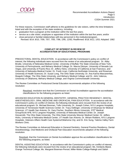

For these reasons, Commission staff adheres to the guidelines for site visitors, within the time limitations listed and with the exception of the state residency, including:

- graduation from a program at the institution within the last five years;
- service as a site visitor, employee or appointee of the institution within the last five years; and/or
- close personal or familial relationships with key personnel in the institution/program.
	- Revised: 8/14; 8/10, 7/09, 7/07, 7/00, 7/96, 1/95, 12/92; Reaffirmed: 8/18; 8/12, 1/03; Adopted: 1982

#### **CONFLICT OF INTEREST IN REVIEW OF ACCREDITATION OF EDUCATIONAL PROGRAMS**

PREDOCTORAL DENTAL EDUCATION: In accordance with the Commission's policy on conflict of interest, the following individuals were recused from the review of an educational program: Dr. Abby Brodie, University of Nebraska Medical Center, University of Buffalo The State University of New York, University of Pennsylvania, and Meharry Medical College; Dr. Marcia Ditmyer, University of Nevada Las Vegas, and University of Puerto Rico; Dr. Jeffery Hicks, University of California at San Francisco, and University of Nebraska Medical Center; Dr. Frank Licari, California Northstate University, and Roseman University of Health Sciences; Dr. Susan Long, The Ohio State University; Dr. Ana Karina Mascarenhas, Ilisagvik College, The Ohio State University, and Meharry Medical College; and Dr. John Valenza, University of Oklahoma, Meharry Medical College, and Virginia Commonwealth University.

The Review Committee on Predoctoral Dental Education recommends adoption of the following resolution:

Resolved, resolution text that the Commission on Dental Accreditation approve the accreditation classifications for the following programs as listed.

ADVANCED EDUCATION IN GENERAL DENTISTRY, GENERAL PRACTICE RESIDENCY, DENTAL ANESTHESIOLOGY, ORAL MEDICINE AND OROFACIAL PAIN EDUCATION: In accordance with the Commission's policy on conflict of interest, the following individuals were recused from the review of an educational program: Dr. Michael Brennan, Tufts University; Dr. Joseph Cohen, NYU Langone Hospitals, University of Tennessee Health Sciences Center; Dr. Tracy Dellinger, University of Arkansas for Medical Sciences, UT Health San Antonio; Dr. Gary Fischer, Southern Illinois University, 375<sup>th</sup> Medical Group/Scott AFB, NYU Langone Hospitals, University of Nebraska Medical Center; Dr. Joseph Giovannitti, The Ohio State University, The Ohio State University Wexner Medical Center; Dr. Jeffery Hicks, University of Nebraska Medical Center, UT Health San Antonio; Dr. Miriam Robbins, NYU Langone Hospitals, Veterans Affairs Health Care Systems/Oklahoma City; and Dr. Eric Sung, Yakima Valley Farm Workers Clinic.

The Review Committee on Advanced Education in General Dentistry, General Practice Residency, Dental Anesthesiology, Oral Medicine and Orofacial Pain Education recommends adoption of the following resolution:

Resolved, that the Commission on Dental Accreditation approve the accreditation classifications for the following programs, as listed.

DENTAL ASSISTING EDUCATION: In accordance with the Commission's policy on conflict of interest, the following individuals were recused from the review of an educational program: Ms. Kimberly Bland, Orange Technical College; Ms. Margaret Bowman-Pensel, Miller-Motte College-Raleigh and Salish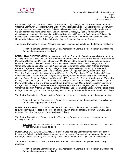

Kootenai College; Ms. Dorothea Cavallucci, Sacramento City College; Ms. Nichole Finnegan, Rowan-Cabarrus Community College; Ms. Carol Little, Albany Technical College, Central Piedmont Community College, Rowan-Cabarrus Community College, Miller-Motte Community College-Raleigh, and Centura College-Norfolk; Ms. Martha McCaslin, Albany Technical College, Ivy Tech Community College-Columbus and Herzing University; Ms. Kori Preble-Boeckler, NHTI Concord's Community College; Ms. Christy Ross, Fortis Institute-Wayne, Ivy Tech Community College-Columbus, and Davidson-Davie Community College; and Dr. Debra Schneider, Central Piedmont Community College.

The Review Committee on Dental Assisting Education recommends adoption of the following resolution:

Resolved, that the Commission on Dental Accreditation approve the accreditation classifications for the following programs as listed.

DENTAL HYGIENE EDUCATION: In accordance with the Commission's policy on conflict of interest, the following individuals were recused from the review of an educational program: Ms. Tami Grzesikowski, St. Petersburg College and University of Michigan; Ms. Carrie Hobbs, Concorde Career College-Garden Grove, Community College of Denver, Concorde Career College-Dallas, Dallas College, El Paso Community College, Lone Star College-Kingwood,Concorde Career College-San Antonio, Concorde Career College-Grand Prairie, Century College, Collin College, Kellogg Community College, and University of Tennessee; Dr. Lorie Holt, Concorde Career College-Kansas City, Manhattan Area Technical College, and University of Missouri-Kansas City; Dr. Tariq Javed, Trident Technical College and University of Missouri-Kansas City ; Ms. Betty Kabel, Pensacola State College, St. Petersburg College, Central Piedmont College, and University of Tennessee; Dr. Barbara Krieg-Menning, Waukesha County Technical College; Ms. Laura Scully, Fox College, Illinois Central College, Parkland College, and Prairie State College; and Dr. Sheila Vandenbush, Cabrillo College, Colorado Northwestern Community College, Dallas College, Concorde Career College-Dallas, Lone Star College-Kingwood, Concorde Career College-San Antonio, El Paso Community College, Concorde Career College-Grand Prairie, Collin College, West Georgia Technical College, Wayne Community College, and Eastern International College.

The Review Committee on Dental Hygiene Education recommends adoption of the following resolution:

Resolved, that the Commission on Dental Accreditation approve the accreditation classifications for the following programs as listed.

DENTAL LABORATORY TECHNOLOGY EDUCATION: In accordance with Commission policy the following individuals recused themselves during the review of an educational program: Mr. Gary Gann, McFatter Technical College and Bates Technical College.

The Review Committee on Dental Laboratory Technology Education recommends adoption of the following resolution:

Resolved, that the Commission on Dental Accreditation approve the accreditation classifications for the following programs as listed.

DENTAL PUBLIC HEALTH EDUCATION: In accordance with the Commission's policy on conflict of interest, the following individuals were recused from the review of an educational program: Dr. Victor Badner, Columbia University and University of Rochester; and Dr. Bruce Dye, Columbia University.

The Review Committee on Dental Public Health Education recommends adoption of the following resolution:

Resolved, that the Commission on Dental Accreditation approve the accreditation classifications for the following programs as listed.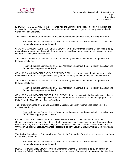

ENDODONTICS EDUCATION: In accordance with the Commission's policy on conflict of interest, the following individual was recused from the review of an educational program: Dr. Garry Myers, Virginia Commonwealth University.

The Review Committee on Endodontics Education recommends adoption of the following resolution:

Resolved, that the Commission on Dental Accreditation approve the accreditation classifications for the following programs as listed.

ORAL AND MAXILLOFACIAL PATHOLOGY EDUCATION: In accordance with the Commission's policy on conflict of interest, the following individuals were recused from the review of an educational program: Dr. John Hellstein, University of Iowa.

The Review Committee on Oral and Maxillofacial Pathology Education recommends adoption of the following resolution:

Resolved, that the Commission on Dental Accreditation approve the accreditation classifications for the following programs as listed.

ORAL AND MAXILLOFACIAL RADIOLOGY EDUCATION: In accordance with the Commission's policy on conflict of interest, Dr. Sanjay Mallya, Stony Brook University Hospital/School of Dental Medicine.

The Review Committee on Oral and Maxillofacial Radiology Education recommends adoption of the following resolution:

Resolved, that the Commission on Dental Accreditation approve the accreditation classifications for the following programs as listed.

ORAL AND MAXILLOFACIAL SURGERY EDUCATION: In accordance with the Commission's policy on conflict of interest, the following individual was recused from the review of an educational program: Dr. Philip Rinaudo, Naval Medical Center/San Diego.

The Review Committee on Oral and Maxillofacial Surgery Education recommends adoption of the following resolution:

Resolved, that the Commission on Dental Accreditation approve the accreditation classifications for the following programs as listed.

ORTHODONTICS AND DENTOFACIAL ORTHOPEDICS EDUCATION: In accordance with the Commission's policy on conflict of interest, the following individuals were recused from the review of an educational program: Dr. Sarandeep Huja, the Ohio State University; Dr. Brent Larson, the Ohio State University; Dr. Howard Lieb, NYU Langone Hospitals; and Dr. Steven Lindauer, Virginia Commonwealth University.

The Review Committee on Orthodontics and Dentofacial Orthopedics Education recommends adoption of the following resolution:

Resolved, that the Commission on Dental Accreditation approve the accreditation classifications for the following programs as listed.

PEDIATRIC DENTISTRY EDUCATION: In accordance with the Commission's policy on conflict of interest, the following individuals were recused from the review of an educational program: Dr. Joel Berg,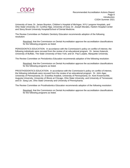

University of Iowa; Dr. James Boynton, Children's Hospital of Michigan, NYU Langone Hospitals, and Ohio State University; Dr. Cynthia Hipp, University of Iowa; Dr. Joseph Morales, Harlem Hospital Center and Stony Brook University Hospital/School of Dental Medicine.

The Review Committee on Pediatric Dentistry Education recommends adoption of the following resolution:

Resolved, that the Commission on Dental Accreditation approve the accreditation classifications for the following programs as listed.

PERIODONTICS EDUCATION: In accordance with the Commission's policy on conflict of interest, the following individuals were recused from the review of an educational program: Dr. James Katancik, University of Buffalo, The State University of New York; and Dr. Paul Luepke, Marquette University.

The Review Committee on Periodontics Education recommends adoption of the following resolution:

Resolved, that the Commission on Dental Accreditation approve the accreditation classifications for the following programs as listed.

PROSTHODONTICS EDUCATION: In accordance with the Commission's policy on conflict of interest, the following individuals were recused from the review of an educational program: Dr. John Agar, University of Pennsylvania; Dr. Evanthia Anadioti, University of Pennsylvania; Dr. Kent Knoernschild, Augusta University, University of Illinois at Chicago, Ohio State University, and University of Tennessee; and Dr. Sang Lee, Ohio State University and University of Pennsylvania.

The Review Committee on Prosthodontics Education recommends adoption of the following resolution:

Resolved, that the Commission on Dental Accreditation approve the accreditation classifications for the following programs as listed.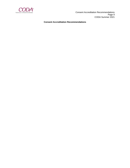

 Consent Accreditation Recommendations Page 9 CODA Summer 2021

#### **Consent Accreditation Recommendations**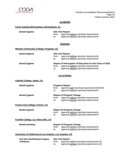

#### **ALABAMA**

#### **Fortis Institute-Birmingham, Birmingham, AL**

| dental hygiene | <b>Site Visit Report</b> |                                               |
|----------------|--------------------------|-----------------------------------------------|
|                |                          | from: approval without reporting requirements |
|                | to:                      | approval without reporting requirements       |

#### **ARIZONA**

### **Mohave Community College, Kingman, AZ**

| dental hygiene                                           | <b>Site Visit Report</b> |                                                           |
|----------------------------------------------------------|--------------------------|-----------------------------------------------------------|
|                                                          | from:                    | approval without reporting requirements                   |
|                                                          | to:                      | approval without reporting requirements                   |
| dental hygiene                                           |                          | Report of Interruption of Education for the Class of 2021 |
|                                                          | from:                    | approval without reporting requirements                   |
|                                                          | $\mathsf{to}:$           | approval without reporting requirements                   |
|                                                          |                          | <b>CALIFORNIA</b>                                         |
| <b>Cabrillo College, Aptos, CA</b>                       |                          |                                                           |
| dental hygiene                                           |                          | <b>Progress Report</b>                                    |
|                                                          | from:                    | approval with reporting requirements (8/2022)             |
|                                                          | to:                      | approval without reporting requirements                   |
| dental hygiene                                           |                          | <b>Report of Program Change</b>                           |
|                                                          | from:                    | approval without reporting requirements                   |
|                                                          | $\mathsf{to}:$           | approval without reporting requirements                   |
| Fresno City College, Fresno, CA                          |                          |                                                           |
| dental hygiene                                           |                          | <b>Report of Program Change</b>                           |
|                                                          | from:                    | approval without reporting requirements                   |
|                                                          | to:                      | approval without reporting requirements                   |
| Foothill College, Los Altos Hills, CA                    |                          |                                                           |
| dental assisting                                         |                          | <b>Report of Program Change</b>                           |
|                                                          | from:                    | approval without reporting requirements                   |
|                                                          | to:                      | approval without reporting requirements                   |
| University of California at Los Angeles, Los Angeles, CA |                          |                                                           |
| oral and maxillofacial surgery                           |                          | <b>Site Visit Report</b>                                  |
| residency                                                | from:                    | approval without reporting requirements (2)               |
|                                                          | to:                      | approval without reporting requirements (2)               |
|                                                          |                          |                                                           |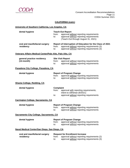

### **CALIFORNIA (cont.)**

| University of Southern California, Los Angeles, CA       |                                  |                                                                                                                                                         |
|----------------------------------------------------------|----------------------------------|---------------------------------------------------------------------------------------------------------------------------------------------------------|
| dental hygiene                                           | from:<br>to:                     | <b>Teach-Out Report</b><br>approval without reporting requirements<br>approval without reporting requirements<br>(Teach-Out through August 31, 2021)    |
| oral and maxillofacial surgery<br>residency              | from:<br>to:                     | Report of Interruption of Education for the Class of 2021<br>approval without reporting requirements (3)<br>approval without reporting requirements (3) |
| Veterans Affairs Medical Center/Palo Alto, Palo Alto, CA |                                  |                                                                                                                                                         |
| general practice residency<br>$(12$ -month)              | from:<br>to:                     | <b>Site Visit Report</b><br>approval without reporting requirements<br>approval without reporting requirements                                          |
| Pasadena City College, Pasadena, CA                      |                                  |                                                                                                                                                         |
| dental hygiene                                           | from:<br>to:                     | <b>Report of Program Change</b><br>approval without reporting requirements<br>approval without reporting requirements                                   |
| <b>Shasta College, Redding, CA</b>                       |                                  |                                                                                                                                                         |
| dental hygiene                                           | <b>Complaint</b><br>from:<br>to: | approval with reporting requirements;<br>intent to withdraw (8/2021)<br>approval without reporting requirements                                         |
| <b>Carrington College, Sacramento, CA</b>                |                                  |                                                                                                                                                         |
| dental hygiene                                           | from:<br>to:                     | <b>Report of Program Change</b><br>approval without reporting requirements<br>approval without reporting requirements                                   |
| Sacramento City College, Sacramento, CA                  |                                  |                                                                                                                                                         |
| dental hygiene                                           | from:<br>to:                     | <b>Report of Program Change</b><br>approval without reporting requirements<br>approval without reporting requirements                                   |
| Naval Medical Center/San Diego, San Diego, CA            |                                  |                                                                                                                                                         |
| oral and maxillofacial surgery<br>residency              | from:<br>to:                     | <b>Request for Enrollment Increase</b><br>approval without reporting requirements (2)<br>approval without reporting requirements (3)                    |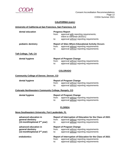

#### **CALIFORNIA (cont.)**

#### **University of California at San Francisco, San Francisco, CA**

| dental education    | from:<br>to: | <b>Progress Report</b><br>approval with reporting requirements;<br>intent to withdraw (8/2021)<br>approval without reporting requirements      |
|---------------------|--------------|------------------------------------------------------------------------------------------------------------------------------------------------|
| pediatric dentistry | from:<br>to: | <b>Report of Sites Where Educational Activity Occurs</b><br>approval without reporting requirements<br>approval without reporting requirements |

**Taft College, Taft, CA**

| dental hygiene | <b>Report of Program Change</b> |
|----------------|---------------------------------|
|                |                                 |

from: approval without reporting requirements

to: approval without reporting requirements

#### **COLORADO**

#### **Community College of Denver, Denver, CO**

| dental hygiene | <b>Report of Program Change</b> |                                         |
|----------------|---------------------------------|-----------------------------------------|
|                | trom:                           | approval without reporting requirements |
|                | to:                             | approval without reporting requirements |

### **Colorado Northwestern Community College, Rangely, CO**

| dental hygiene |  |
|----------------|--|
|----------------|--|

- **Report of Program Change** from: approval without reporting requirements
- to: approval without reporting requirements

#### **FLORIDA**

#### **Nova Southeastern University, Fort Lauderdale, FL**

| advanced education in<br>general dentistry<br>(12-month/optional 2 <sup>nd</sup> year) | from:<br>to:                                    | Report of Interruption of Education for the Class of 2021<br>approval without reporting requirements<br>approval without reporting requirements |
|----------------------------------------------------------------------------------------|-------------------------------------------------|-------------------------------------------------------------------------------------------------------------------------------------------------|
| advanced education in<br>general dentistry<br>(12-month/optional 2 <sup>nd</sup> year) | <b>Report of Program Change</b><br>from:<br>to: | approval without reporting requirements<br>approval without reporting requirements                                                              |
| endodontics                                                                            | from:<br>to:                                    | Report of Interruption of Education for the Class of 2021<br>approval without reporting requirements<br>approval without reporting requirements |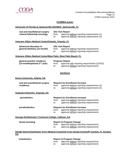

#### **FLORIDA (cont.)**

#### **University of Florida at Jacksonville-SHANDS, Jacksonville, FL**

| oral and maxillofacial surgery | <b>Site Visit Report</b> |                                                                                            |
|--------------------------------|--------------------------|--------------------------------------------------------------------------------------------|
| clinical fellowship-oncology   | from:<br>to:             | approval without reporting requirements (2)<br>approval without reporting requirements (2) |

#### **Veterans Affairs Medical Center/Orlando, Orlando, FL**

| advanced education in        | <b>Site Visit Report</b> |                                         |
|------------------------------|--------------------------|-----------------------------------------|
| general dentistry (12-month) | from:                    | approval without reporting requirements |
|                              | to:                      | approval without reporting requirements |

#### **Veterans Affairs Medical Center/West Palm, West Palm Beach, FL**

| general practice residency        | <b>Progress Report</b> |                                               |
|-----------------------------------|------------------------|-----------------------------------------------|
| (12-month/optional $2^{nd}$ year) | trom:                  | approval with reporting requirements (2/2022) |
|                                   | to:                    | approval without reporting requirements       |

#### **GEORGIA**

#### **Emory University, Atlanta, GA**

| oral and maxillofacial surgery<br>residency         | from:<br>to: | <b>Request for Enrollment Increase</b><br>approval without reporting requirements (4)<br>approval without reporting requirements (5) |
|-----------------------------------------------------|--------------|--------------------------------------------------------------------------------------------------------------------------------------|
| <u>Augusta University, Augusta, GA</u>              |              |                                                                                                                                      |
| periodontics                                        | from:<br>to: | <b>Request for Enrollment Increase</b><br>approval without reporting requirements<br>approval without reporting requirements         |
| prosthodontics                                      | from:<br>to: | <b>Request for Enrollment Increase</b><br>approval without reporting requirements<br>approval without reporting requirements         |
| Georgia Northwestern Technical College, Calhoun, GA |              |                                                                                                                                      |
| dental assisting                                    | from:        | <b>Report of Program Change</b><br>approval without reporting requirements                                                           |

to: approval without reporting requirements

#### **Dwight David Eisenhower Army Medical Center/US Army Dental Activity/Ft Gordon, Ft. Gordon, GA**

| <b>endodontics</b> | <b>Report of Program Change</b>                                                                    |  |
|--------------------|----------------------------------------------------------------------------------------------------|--|
|                    | approval without reporting requirements<br>from:<br>approval without reporting requirements<br>to: |  |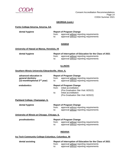

#### **GEORGIA (cont.)**

#### **Fortis College-Smyrna, Smyrna, GA**

|  | dental hygiene |
|--|----------------|
|--|----------------|

#### **Report of Program Change** from: approval without reporting requirements<br>to: approval without reporting requirements approval without reporting requirements

#### **HAWAII**

#### **University of Hawaii at Manoa, Honolulu, HI**

| dental hygiene | Report of Interruption of Education for the Class of 2021 |                                               |  |
|----------------|-----------------------------------------------------------|-----------------------------------------------|--|
|                |                                                           | from: approval without reporting requirements |  |
|                | to:                                                       | approval without reporting requirements       |  |

#### **ILLINOIS**

#### **Southern Illinois University Edwardsville, Alton, IL**

|             | advanced education in<br>general dentistry<br>(12-month/optional 2 <sup>nd</sup> year) | from:<br>to: | <b>Report of Program Change</b><br>approval without reporting requirements<br>approval without reporting requirements                                           |
|-------------|----------------------------------------------------------------------------------------|--------------|-----------------------------------------------------------------------------------------------------------------------------------------------------------------|
| endodontics |                                                                                        | from:<br>to: | <b>Report of Program Change</b><br>initial accreditation<br>(Pre-Graduation Site Visit: 8/2022)<br>initial accreditation<br>(Pre-Graduation Site Visit: 8/2022) |
|             | Parkland College, Champaign, IL                                                        |              |                                                                                                                                                                 |
|             | dental hygiene                                                                         | from:<br>to: | <b>Report of Program Change</b><br>approval without reporting requirements<br>approval without reporting requirements                                           |
|             | University of Illinois at Chicago, Chicago, IL                                         |              |                                                                                                                                                                 |
|             | prosthodontics                                                                         | from:<br>to: | <b>Report of Program Change</b><br>approval without reporting requirements<br>approval without reporting requirements                                           |
|             |                                                                                        |              | <b>INDIANA</b>                                                                                                                                                  |
|             |                                                                                        |              |                                                                                                                                                                 |

#### **Ivy Tech Community College-Columbus, Columbus, IN**

| dental assisting | Report of Interruption of Education for the Class of 2021                                          |  |  |
|------------------|----------------------------------------------------------------------------------------------------|--|--|
|                  | approval without reporting requirements<br>from:<br>approval without reporting requirements<br>to: |  |  |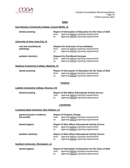

#### **IOWA**

### **Iowa Western Community College, Council Bluffs, IA**

| dental assisting                                   | from:<br>to:                                                                                                                                 | Report of Interruption of Education for the Class of 2021<br>approval without reporting requirements<br>approval without reporting requirements |
|----------------------------------------------------|----------------------------------------------------------------------------------------------------------------------------------------------|-------------------------------------------------------------------------------------------------------------------------------------------------|
| University of Iowa, Iowa City, IA                  |                                                                                                                                              |                                                                                                                                                 |
| oral and maxillofacial<br>pathology                | from:<br>to:                                                                                                                                 | <b>Request for Extension of Accreditation</b><br>approval without reporting requirements<br>approval without reporting requirements             |
| pediatric dentistry                                | <b>Request for Enrollment Increase</b><br>approval without reporting requirements<br>from:<br>approval without reporting requirements<br>to: |                                                                                                                                                 |
| Hawkeye Community College, Waterloo, IA            |                                                                                                                                              |                                                                                                                                                 |
| dental assisting                                   | from:<br>to:                                                                                                                                 | Report of Interruption of Education for the Class of 2021<br>approval without reporting requirements<br>approval without reporting requirements |
|                                                    |                                                                                                                                              | <b>KANSAS</b>                                                                                                                                   |
| <b>Labette Community College, Parsons, KS</b>      |                                                                                                                                              |                                                                                                                                                 |
| dental assisting                                   | from:<br>to:                                                                                                                                 | <b>Report of Site Where Educational Activity Occurs</b><br>approval without reporting requirements<br>approval without reporting requirements   |
|                                                    |                                                                                                                                              | <b>LOUISIANA</b>                                                                                                                                |
| <b>Louisiana State University, New Orleans, LA</b> |                                                                                                                                              |                                                                                                                                                 |
| general practice residency<br>$(12$ -month)        | from:<br>to:                                                                                                                                 | <b>Report of Program Change</b><br>approval without reporting requirements<br>approval without reporting requirements                           |
| dental hygiene                                     | from:<br>to:                                                                                                                                 | <b>Report of Sites Where Educational Activity Occurs</b><br>approval without reporting requirements<br>approval without reporting requirements  |
| pediatric dentistry                                | from:<br>to:                                                                                                                                 | <b>Report of Sites Where Educational Activity Occurs</b><br>approval without reporting requirements<br>approval without reporting requirements  |
| <b>Southern University, Shreveport, LA</b>         |                                                                                                                                              |                                                                                                                                                 |

| dental hygiene | Report of Interruption of Education for the Class of 2021 |                                         |  |
|----------------|-----------------------------------------------------------|-----------------------------------------|--|
|                | from:                                                     | approval without reporting requirements |  |
|                | to:                                                       | approval without reporting requirements |  |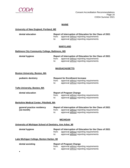

#### **MAINE**

#### **University of New England, Portland, ME**

**dental education Report of Interruption of Education for the Class of 2021** from: approval without reporting requirements to: approval without reporting requirements

#### **MARYLAND**

#### **Baltimore City Community College, Baltimore, MD**

| dental hygiene | Report of Interruption of Education for the Class of 2021 |  |  |
|----------------|-----------------------------------------------------------|--|--|
|                | from: approval without reporting requirements             |  |  |
|                | approval without reporting requirements                   |  |  |

#### **MASSACHUSETTS**

#### **Boston University, Boston, MA**

| pediatric dentistry | <b>Request for Enrollment Increase</b> |                                               |
|---------------------|----------------------------------------|-----------------------------------------------|
|                     |                                        | from: approval without reporting requirements |
|                     | to:                                    | approval without reporting requirements       |

#### **Tufts University, Boston, MA**

#### **dental education Report of Program Change** from: approval without reporting requirements to: approval without reporting requirements

#### **Berkshire Medical Center, Pittsfield, MA**

| general practice residency |       | Report of Interruption of Education for the Class of 2021 |  |  |
|----------------------------|-------|-----------------------------------------------------------|--|--|
| (12-month)                 | from: | approval without reporting requirements                   |  |  |
|                            | to:   | approval without reporting requirements                   |  |  |

#### **MICHIGAN**

#### **University of Michigan School of Dentistry, Ann Arbor, MI**

| dental hygiene |              | Report of Interruption of Education for the Class of 2021                          |  |  |
|----------------|--------------|------------------------------------------------------------------------------------|--|--|
|                | from:<br>to: | approval without reporting requirements<br>approval without reporting requirements |  |  |

**Lake Michigan College, Benton Harbor, MI**

| dental assisting | <b>Report of Program Change</b> |                                                                                    |  |
|------------------|---------------------------------|------------------------------------------------------------------------------------|--|
|                  | from:<br>to:                    | approval without reporting requirements<br>approval without reporting requirements |  |
|                  |                                 |                                                                                    |  |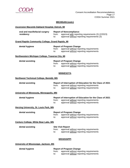

#### **MICHIGAN (cont.)**

#### **Ascension Macomb-Oakland Hospital, Detroit, MI**

| oral and maxillofacial surgery                          | <b>Report of Noncompliance</b>  |                                                                                                                                                 |  |
|---------------------------------------------------------|---------------------------------|-------------------------------------------------------------------------------------------------------------------------------------------------|--|
| residency                                               | from:<br>to:                    | approval with reporting requirements (3) (2/2023)<br>approval without reporting requirements (3)                                                |  |
| <b>Grand Rapids Community College, Grand Rapids, MI</b> |                                 |                                                                                                                                                 |  |
| dental hygiene                                          | <b>Report of Program Change</b> |                                                                                                                                                 |  |
|                                                         | from:<br>to:                    | approval without reporting requirements<br>approval without reporting requirements                                                              |  |
| Northwestern Michigan College, Traverse City, MI        |                                 |                                                                                                                                                 |  |
|                                                         |                                 |                                                                                                                                                 |  |
| dental assisting                                        | from:<br>to:                    | <b>Report of Program Change</b><br>approval without reporting requirements<br>approval without reporting requirements                           |  |
|                                                         |                                 |                                                                                                                                                 |  |
|                                                         |                                 | <b>MINNESOTA</b>                                                                                                                                |  |
| Northwest Technical College, Bemidji, MN                |                                 |                                                                                                                                                 |  |
| dental assisting                                        |                                 | Report of Interruption of Education for the Class of 2021                                                                                       |  |
|                                                         | from:<br>to:                    | approval without reporting requirements<br>approval without reporting requirements                                                              |  |
| University of Minnesota, Minneapolis, MN                |                                 |                                                                                                                                                 |  |
| dental hygiene                                          | from:<br>to:                    | Report of Interruption of Education for the Class of 2021<br>approval without reporting requirements<br>approval without reporting requirements |  |
| <b>Herzing University, St. Louis Park, MN</b>           |                                 |                                                                                                                                                 |  |
| dental assisting                                        |                                 | <b>Report of Program Change</b>                                                                                                                 |  |
|                                                         | from:<br>to:                    | approval without reporting requirements<br>approval without reporting requirements                                                              |  |
| Century College, White Bear Lake, MN                    |                                 |                                                                                                                                                 |  |
| dental assisting                                        |                                 | <b>Site Visit Report</b>                                                                                                                        |  |
|                                                         | from:<br>to:                    | approval without reporting requirements<br>approval without reporting requirements                                                              |  |
|                                                         |                                 | <b>MISSISSIPPI</b>                                                                                                                              |  |
| University of Mississippi, Jackson, MS                  |                                 |                                                                                                                                                 |  |
| dental hygiene                                          |                                 | <b>Report of Program Change</b>                                                                                                                 |  |

from: approval without reporting requirements to: approval without reporting requirements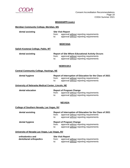

#### **MISSISSIPPI (cont.)**

#### **Meridian Community College, Meridian, MS**

| dental assisting | <b>Site Visit Report</b> |                                               |
|------------------|--------------------------|-----------------------------------------------|
|                  |                          | from: approval without reporting requirements |
|                  | to:                      | approval without reporting requirements       |

#### **MONTANA**

#### **Salish Kootenai College, Pablo, MT**

| dental assisting |       | <b>Report of Site Where Educational Activity Occurs</b> |  |  |
|------------------|-------|---------------------------------------------------------|--|--|
|                  | from: | approval without reporting requirements                 |  |  |
|                  | to:   | approval without reporting requirements                 |  |  |

#### **NEBRASKA**

#### **Central Community College, Hastings, NE**

| dental hygiene |                                                  | Report of Interruption of Education for the Class of 2021 |  |  |
|----------------|--------------------------------------------------|-----------------------------------------------------------|--|--|
|                | approval without reporting requirements<br>from: |                                                           |  |  |
|                | approval without reporting requirements<br>to:   |                                                           |  |  |

#### **University of Nebraska Medical Center, Lincoln, NE**

#### **dental education Report of Program Change**

from: approval without reporting requirements to: approval without reporting requirements

#### **NEVADA**

#### **College of Southern Nevada, Las Vegas, NV**

| dental assisting | Report of Interruption of Education for the Class of 2021<br>approval without reporting requirements<br>from:<br>approval without reporting requirements<br>to: |
|------------------|-----------------------------------------------------------------------------------------------------------------------------------------------------------------|
| dental hygiene   | <b>Report of Program Change</b><br>approval without reporting requirements<br>from:<br>approval without reporting requirements<br>to:                           |

#### **University of Nevada Las Vegas, Las Vegas, NV**

| orthodontics and        | <b>Site Visit Report</b> |                                               |
|-------------------------|--------------------------|-----------------------------------------------|
| dentofacial orthopedics |                          | from: approval without reporting requirements |
|                         | to:                      | approval without reporting requirements       |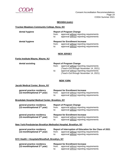

#### **NEVADA (cont.)**

#### **Truckee Meadows Community College, Reno, NV**

| dental hygiene | <b>Report of Program Change</b> |                                                                                    |
|----------------|---------------------------------|------------------------------------------------------------------------------------|
|                | from:                           | approval without reporting requirements                                            |
|                | to:                             | approval without reporting requirements                                            |
|                |                                 |                                                                                    |
|                |                                 |                                                                                    |
| dental hygiene |                                 | <b>Request for Enrollment Increase</b>                                             |
|                | from:                           | approval without reporting requirements<br>approval without reporting requirements |

#### **NEW JERSEY**

#### **Fortis Institute-Wayne, Wayne, NJ**

| <b>Report of Program Change</b> |                                         |
|---------------------------------|-----------------------------------------|
| from:                           | approval without reporting requirements |
|                                 | (Teach-Out through November 14, 2021)   |
| to:                             | approval without reporting requirements |
|                                 | (Teach-Out through November 14, 2021)   |
|                                 |                                         |

#### **NEW YORK**

#### **Jacobi Medical Center, Bronx, NY**

| general practice residency        | <b>Request for Enrollment Increase</b> |                                         |  |
|-----------------------------------|----------------------------------------|-----------------------------------------|--|
| (12-month/optional $2^{nd}$ year) | trom:                                  | approval without reporting requirements |  |
|                                   | to:                                    | approval without reporting requirements |  |

#### **Brookdale Hospital Medical Center, Brooklyn, NY**

| general practice residency<br>(12-month/optional $2nd$ year)    | from:<br>to: | <b>Report of Program Change</b><br>approval without reporting requirements<br>approval without reporting requirements        |
|-----------------------------------------------------------------|--------------|------------------------------------------------------------------------------------------------------------------------------|
| general practice residency<br>(12-month/optional $2^{nd}$ year) | from:<br>to: | <b>Request for Enrollment Increase</b><br>approval without reporting requirements<br>approval without reporting requirements |

#### **New York-Presbyterian Brooklyn Methodist Hospital, Brooklyn, NY**

| general practice residency        |       | Report of Interruption of Education for the Class of 2021 |
|-----------------------------------|-------|-----------------------------------------------------------|
| $(12$ -month/optional $2nd$ year) | trom: | approval without reporting requirements                   |
|                                   | to:   | approval without reporting requirements                   |

#### **NYC Health + Hospitals/Woodhull, Brooklyn, NY**

| general practice residency        | <b>Request for Enrollment Increase</b> |                                         |  |
|-----------------------------------|----------------------------------------|-----------------------------------------|--|
| $(12$ -month/optional $2nd$ year) | trom:                                  | approval without reporting requirements |  |
|                                   | to:                                    | approval without reporting requirements |  |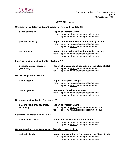

### **NEW YORK (cont.)**

### **University of Buffalo, The State University of New York, Buffalo, NY**

| dental education                                             | <b>Report of Program Change</b><br>approval without reporting requirements<br>from:<br>approval without reporting requirements<br>to:                           |
|--------------------------------------------------------------|-----------------------------------------------------------------------------------------------------------------------------------------------------------------|
| pediatric dentistry                                          | <b>Report of Sites Where Educational Activity Occurs</b><br>approval without reporting requirements<br>from:<br>approval without reporting requirements<br>to:  |
| periodontics                                                 | <b>Report of Sites Where Educational Activity Occurs</b><br>approval without reporting requirements<br>from:<br>approval without reporting requirements<br>to:  |
| <b>Flushing Hospital Medical Center, Flushing, NY</b>        |                                                                                                                                                                 |
| general practice residency<br>$(12$ -month)                  | Report of Interruption of Education for the Class of 2021<br>approval without reporting requirements<br>from:<br>approval without reporting requirements<br>to: |
| Plaza College, Forest Hills, NY                              |                                                                                                                                                                 |
| dental hygiene                                               | <b>Report of Program Change</b><br>approval without reporting requirements<br>from:<br>approval without reporting requirements<br>to:                           |
| dental hygiene                                               | <b>Request for Enrollment Increase</b><br>from:<br>approval without reporting requirements<br>approval without reporting requirements<br>to:                    |
| Beth Israel Medical Center, New York, NY                     |                                                                                                                                                                 |
| oral and maxillofacial surgery<br>residency                  | <b>Report of Program Change</b><br>from:<br>approval without reporting requirements (5)<br>approval without reporting requirements (5)<br>$\mathsf{to}:$        |
| <b>Columbia University, New York, NY</b>                     |                                                                                                                                                                 |
| dental public health                                         | <b>Request for Extension of Accreditation</b><br>approval without reporting requirements<br>from:<br>approval without reporting requirements<br>to:             |
| Harlem Hospital Center Department of Dentistry, New York, NY |                                                                                                                                                                 |
| pediatric dentistry                                          | Report of Interruption of Education for the Class of 2021<br>approval without reporting requirements<br>from:<br>approval without reporting requirements<br>to: |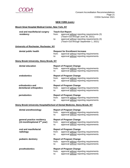

### **NEW YORK (cont.)**

### **Mount Sinai Hospital Medical Center, New York, NY**

| oral and maxillofacial surgery<br>residency                            | <b>Teach-Out Report</b><br>approval without reporting requirements (3)<br>from:<br>(Teach-Out through June 30, 2021)<br>approval without reporting requirements (3)<br>to:<br>(Teach-Out through September 1, 2021) |
|------------------------------------------------------------------------|---------------------------------------------------------------------------------------------------------------------------------------------------------------------------------------------------------------------|
| University of Rochester, Rochester, NY                                 |                                                                                                                                                                                                                     |
| dental public health                                                   | <b>Request for Enrollment Increase</b><br>from:<br>approval without reporting requirements<br>approval without reporting requirements<br>to:                                                                        |
| <b>Stony Brook University, Stony Brook, NY</b>                         |                                                                                                                                                                                                                     |
| dental education                                                       | <b>Report of Program Change</b><br>from:<br>approval without reporting requirements<br>approval without reporting requirements<br>to:                                                                               |
| endodontics                                                            | <b>Report of Program Change</b><br>from:<br>approval without reporting requirements<br>approval without reporting requirements<br>to:                                                                               |
| orthodontics and<br>dentofacial orthopedics                            | <b>Report of Program Change</b><br>approval without reporting requirements<br>from:<br>approval without reporting requirements<br>to:                                                                               |
| periodontics                                                           | <b>Report of Program Change</b><br>approval without reporting requirements<br>from:<br>approval without reporting requirements<br>to:                                                                               |
|                                                                        | <b>Stony Brook University Hospital/School of Dental Medicine, Stony Brook, NY</b>                                                                                                                                   |
| dental anesthesiology                                                  | <b>Report of Program Change</b><br>from:<br>approval without reporting requirements<br>approval without reporting requirements<br>to:                                                                               |
| general practice residency<br>(12-month/optional 2 <sup>nd</sup> year) | <b>Report of Program Change</b><br>from:<br>approval without reporting requirements<br>approval without reporting requirements<br>to:                                                                               |
| oral and maxillofacial<br>radiology                                    | <b>Report of Program Change</b><br>approval without reporting requirements<br>from:<br>approval without reporting requirements<br>to:                                                                               |
| pediatric dentistry                                                    | <b>Report of Program Change</b><br>from:<br>approval without reporting requirements<br>approval without reporting requirements<br>to:                                                                               |
| prosthodontics                                                         | <b>Report of Program Change</b><br>approval without reporting requirements<br>from:<br>approval without reporting requirements<br>to:                                                                               |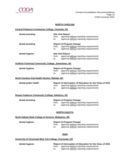

#### **NORTH CAROLINA**

#### **Central Piedmont Community College, Charlotte, NC**

| dental assisting                                                        | <b>Site Visit Report</b><br>from:<br>approval without reporting requirements<br>approval without reporting requirements<br>to:                                  |  |  |  |
|-------------------------------------------------------------------------|-----------------------------------------------------------------------------------------------------------------------------------------------------------------|--|--|--|
| dental assisting                                                        | <b>Report of Program Change</b><br>approval without reporting requirements<br>from:<br>approval without reporting requirements<br>to:                           |  |  |  |
| dental hygiene                                                          | <b>Site Visit Report</b><br>approval without reporting requirements<br>from:<br>approval without reporting requirements<br>to:                                  |  |  |  |
| <b>Guilford Technical Community College, Jamestown, NC</b>              |                                                                                                                                                                 |  |  |  |
| dental hygiene                                                          | <b>Report of Program Change</b><br>from:<br>approval without reporting requirements<br>approval without reporting requirements<br>to:                           |  |  |  |
| North Carolina Oral Health Section, Raleigh, NC                         |                                                                                                                                                                 |  |  |  |
| dental public health<br>Rowan-Cabarrus Community College, Salisbury, NC | Report of Interruption of Education for the Class of 2021<br>approval without reporting requirements<br>from:<br>approval without reporting requirements<br>to: |  |  |  |
| dental assisting                                                        | <b>Report of Program Change</b><br>from:<br>approval without reporting requirements<br>approval without reporting requirements<br>to:                           |  |  |  |
|                                                                         | <b>NORTH DAKOTA</b>                                                                                                                                             |  |  |  |
| North Dakota State College of Science, Wahpeton, ND                     |                                                                                                                                                                 |  |  |  |
| dental hygiene                                                          | <b>Report of Program Change</b><br>approval without reporting requirements<br>from:<br>approval without reporting requirements<br>to:                           |  |  |  |
| <b>OHIO</b>                                                             |                                                                                                                                                                 |  |  |  |
| University of Cincinnati Blue Ash College, Cincinnati, OH               |                                                                                                                                                                 |  |  |  |

**dental hygiene Report of Interruption of Education for the Class of 2021** from: approval without reporting requirements<br>to: approval without reporting requirements approval without reporting requirements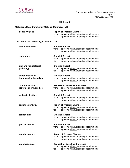

### **OHIO (cont.)**

### **Columbus State Community College, Columbus, OH**

| dental hygiene                          | <b>Report of Program Change</b> |                                                                                    |  |  |
|-----------------------------------------|---------------------------------|------------------------------------------------------------------------------------|--|--|
|                                         | from:<br>to:                    | approval without reporting requirements<br>approval without reporting requirements |  |  |
| The Ohio State University, Columbus, OH |                                 |                                                                                    |  |  |
| dental education                        |                                 | <b>Site Visit Report</b>                                                           |  |  |
|                                         | from:<br>to:                    | approval without reporting requirements<br>approval without reporting requirements |  |  |
| endodontics                             | <b>Site Visit Report</b>        |                                                                                    |  |  |
|                                         | from:<br>to:                    | approval without reporting requirements<br>approval without reporting requirements |  |  |
| oral and maxillofacial                  |                                 | <b>Site Visit Report</b>                                                           |  |  |
| pathology                               | from:<br>to:                    | approval without reporting requirements<br>approval without reporting requirements |  |  |
| orthodontics and                        |                                 | <b>Site Visit Report</b>                                                           |  |  |
| dentofacial orthopedics                 | from:<br>to:                    | approval without reporting requirements<br>approval without reporting requirements |  |  |
| orthodontics and                        |                                 | <b>Request for Enrollment Increase</b>                                             |  |  |
| dentofacial orthopedics                 | from:<br>to:                    | approval without reporting requirements<br>approval without reporting requirements |  |  |
| pediatric dentistry                     |                                 | <b>Site Visit Report</b>                                                           |  |  |
|                                         | from:<br>to:                    | approval without reporting requirements<br>approval without reporting requirements |  |  |
| pediatric dentistry                     |                                 | <b>Report of Program Change</b>                                                    |  |  |
|                                         | from:<br>to:                    | approval without reporting requirements<br>approval without reporting requirements |  |  |
| periodontics                            |                                 | <b>Site Visit Report</b>                                                           |  |  |
|                                         | from:<br>to:                    | approval without reporting requirements<br>approval without reporting requirements |  |  |
| prosthodontics                          |                                 | <b>Site Visit Report</b>                                                           |  |  |
|                                         | from:<br>to:                    | approval without reporting requirements<br>approval without reporting requirements |  |  |
| prosthodontics                          |                                 | <b>Report of Program Change</b>                                                    |  |  |
|                                         | from:<br>to:                    | approval without reporting requirements<br>approval without reporting requirements |  |  |
| prosthodontics                          |                                 | <b>Request for Enrollment Increase</b>                                             |  |  |
|                                         | from:<br>to:                    | approval without reporting requirements<br>approval without reporting requirements |  |  |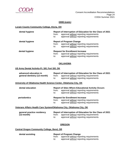

#### **OHIO (cont.)**

#### **Lorain County Community College, Elyria, OH**

| dental hygiene | Report of Interruption of Education for the Class of 2021<br>approval without reporting requirements<br>from:<br>approval without reporting requirements<br>to: |
|----------------|-----------------------------------------------------------------------------------------------------------------------------------------------------------------|
| dental hygiene | <b>Report of Program Change</b><br>approval without reporting requirements<br>from:<br>approval without reporting requirements<br>to:                           |
| dental hygiene | <b>Request for Enrollment Increase</b><br>approval without reporting requirements<br>from:<br>approval without reporting requirements<br>to:                    |

#### **OKLAHOMA**

#### **US Army Dental Activity-Ft. Sill, Fort Sill, OK**

| advanced education in        | <b>Report of Interruption of Education for the Class of 2021</b> |                                               |  |
|------------------------------|------------------------------------------------------------------|-----------------------------------------------|--|
| general dentistry (12-month) |                                                                  | from: approval without reporting requirements |  |
|                              | to:                                                              | approval without reporting requirements       |  |

#### **University of Oklahoma Health Science Center, Oklahoma City, OK**

| dental education | <b>Report of Sites Where Educational Activity Occurs</b><br>approval without reporting requirements<br>from:<br>approval without reporting requirements<br>to: |
|------------------|----------------------------------------------------------------------------------------------------------------------------------------------------------------|
| periodontics     | <b>Request for Enrollment Increase</b><br>approval without reporting requirements<br>from:<br>approval without reporting requirements<br>to:                   |

#### **Veterans Affairs Health Care System/Oklahoma City, Oklahoma City, OK**

| general practice residency |       | Report of Interruption of Education for the Class of 2021 |  |  |
|----------------------------|-------|-----------------------------------------------------------|--|--|
| (12-month)                 | trom: | approval without reporting requirements                   |  |  |
|                            | to:   | approval without reporting requirements                   |  |  |

#### **OREGON**

#### **Central Oregon Community College, Bend, OR**

| dental assisting | <b>Report of Program Change</b> |                                         |
|------------------|---------------------------------|-----------------------------------------|
|                  | trom:                           | approval without reporting requirements |
|                  | to:                             | approval without reporting requirements |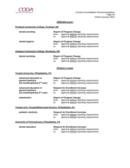

#### **OREGON (cont.)**

#### **Portland Community College, Portland, OR**

| dental assisting | from:<br>to: | <b>Report of Program Change</b><br>approval without reporting requirements<br>approval without reporting requirements |
|------------------|--------------|-----------------------------------------------------------------------------------------------------------------------|
| dental hygiene   | from:<br>to: | <b>Report of Program Change</b><br>approval without reporting requirements<br>approval without reporting requirements |

#### **Umpqua Community College, Roseburg, OR**

| dental assisting | <b>Report of Program Change</b> |                                         |  |
|------------------|---------------------------------|-----------------------------------------|--|
|                  | trom:                           | approval without reporting requirements |  |
|                  | to:                             | approval without reporting requirements |  |

#### **PENNSYLVANIA**

#### **Temple University, Philadelphia, PA**

| advanced education in                                                                  | <b>Report of Program Change</b> |                                                                                                                              |
|----------------------------------------------------------------------------------------|---------------------------------|------------------------------------------------------------------------------------------------------------------------------|
| general dentistry                                                                      | from:                           | approval without reporting requirements                                                                                      |
| (12-month/optional 2 <sup>nd</sup> year)                                               | to:                             | approval without reporting requirements                                                                                      |
| advanced education in<br>general dentistry<br>(12-month/optional 2 <sup>nd</sup> year) | from:<br>to:                    | <b>Request for Enrollment Increase</b><br>approval without reporting requirements<br>approval without reporting requirements |
| endodontics                                                                            | from:<br>to:                    | <b>Report of Program Change</b><br>approval without reporting requirements<br>approval without reporting requirements        |
| Temple Univ. Hospital/Episcopal Division, Philadelphia, PA                             |                                 |                                                                                                                              |
| pediatric dentistry                                                                    | from:<br>to:                    | <b>Request for Enrollment Increase</b><br>approval without reporting requirements<br>approval without reporting requirements |
| University of Pennsylvania, Philadelphia, PA                                           |                                 |                                                                                                                              |

**dental education Request for Enrollment Increase** from: approval without reporting requirements<br>to: approval without reporting requirements approval without reporting requirements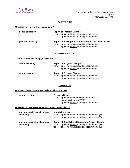

#### **PUERTO RICO**

#### **University of Puerto Rico, San Juan, PR**

| dental education    | from:<br>to: | <b>Report of Program Change</b><br>approval without reporting requirements<br>approval without reporting requirements                           |
|---------------------|--------------|-------------------------------------------------------------------------------------------------------------------------------------------------|
| pediatric dentistry | from:<br>to: | Report of Interruption of Education for the Class of 2021<br>approval without reporting requirements<br>approval without reporting requirements |

#### **SOUTH CAROLINA**

#### **Trident Technical College, Charleston, SC**

| dental assisting | <b>Report of Program Change</b><br>approval without reporting requirements<br>from: |                                                                                    |
|------------------|-------------------------------------------------------------------------------------|------------------------------------------------------------------------------------|
| dental hygiene   | to:                                                                                 | approval without reporting requirements<br><b>Report of Program Change</b>         |
|                  |                                                                                     |                                                                                    |
|                  |                                                                                     |                                                                                    |
|                  | from:                                                                               | approval without reporting requirements<br>approval without reporting requirements |

#### **TENNESSEE**

#### **Northeast State Community College, Kingsport, TN**

| dental assisting                                      | <b>Progress Report</b><br>from:<br>to:   | approval with reporting requirements;<br>intent to withdraw (8/2021)<br>approval without reporting requirements |
|-------------------------------------------------------|------------------------------------------|-----------------------------------------------------------------------------------------------------------------|
| University of Tennessee Medical Center, Knoxville, TN |                                          |                                                                                                                 |
| oral and maxillofacial surgery<br>residency           | <b>Site Visit Report</b><br>from:<br>to: | approval without reporting requirements (3)<br>approval without reporting requirements (3)                      |
| oral and maxillofacial surgery                        |                                          | <b>Report of Sites Where Educational Activity Occurs</b>                                                        |

**residency** from: approval <u>without</u> reporting requirements (3)<br>to: approval without reporting requirements (3) approval without reporting requirements (3)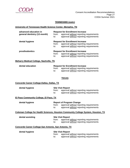

#### **TENNESSEE (cont.)**

#### **University of Tennessee Health Science Center, Memphis, TN**

| advanced education in<br>general dentistry (12-month) | from:<br>to: | <b>Request for Enrollment Increase</b><br>approval without reporting requirements<br>approval without reporting requirements |
|-------------------------------------------------------|--------------|------------------------------------------------------------------------------------------------------------------------------|
| dental hygiene                                        | from:<br>to: | <b>Request for Enrollment Increase</b><br>approval without reporting requirements<br>approval without reporting requirements |
| prosthodontics                                        | from:<br>to: | <b>Request for Enrollment Increase</b><br>approval without reporting requirements<br>approval without reporting requirements |

#### **Meharry Medical College, Nashville, TN**

| dental education | <b>Request for Enrollment Increase</b> |                                                                                          |
|------------------|----------------------------------------|------------------------------------------------------------------------------------------|
|                  | to:                                    | from: approval without reporting requirements<br>approval without reporting requirements |
|                  |                                        |                                                                                          |

#### **TEXAS**

#### **Concorde Career College-Dallas, Dallas, TX**

| dental hygiene                         | <b>Site Visit Report</b> |                                                                                    |  |
|----------------------------------------|--------------------------|------------------------------------------------------------------------------------|--|
|                                        | from:<br>to:             | approval without reporting requirements<br>approval without reporting requirements |  |
| El Paso Community College, El Paso, TX |                          |                                                                                    |  |
| dental hygiene                         | from:                    | <b>Report of Program Change</b><br>approval without reporting requirements         |  |

to: approval without reporting requirements

#### **Coleman College for Health Sciences, Houston Community College System, Houston, TX**

| dental assisting                                     | from:<br>to: | <b>Site Visit Report</b><br>approval without reporting requirements<br>approval without reporting requirements |
|------------------------------------------------------|--------------|----------------------------------------------------------------------------------------------------------------|
| Concorde Career College-San Antonio, San Antonio, TX |              |                                                                                                                |
| dental hygiene                                       |              | <b>Site Visit Report</b>                                                                                       |

| Site Visit Report |                                         |  |  |
|-------------------|-----------------------------------------|--|--|
| from:             | approval without reporting requirements |  |  |
| to:               | approval without reporting requirements |  |  |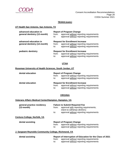

#### **TEXAS (cont.)**

#### **UT Health San Antonio, San Antonio, TX**

| advanced education in<br>general dentistry (12-month) | from:<br>to: | <b>Report of Program Change</b><br>approval without reporting requirements<br>approval without reporting requirements        |
|-------------------------------------------------------|--------------|------------------------------------------------------------------------------------------------------------------------------|
| advanced education in<br>general dentistry (12-month) | from:<br>to: | <b>Request for Enrollment Increase</b><br>approval without reporting requirements<br>approval without reporting requirements |
| pediatric dentistry                                   | from:<br>to: | <b>Request for Enrollment Increase</b><br>approval without reporting requirements<br>approval without reporting requirements |

#### **UTAH**

#### **Roseman University of Health Sciences, South Jordan, UT**

| dental education | from:<br>to: | <b>Report of Program Change</b><br>approval without reporting requirements<br>approval without reporting requirements        |
|------------------|--------------|------------------------------------------------------------------------------------------------------------------------------|
| dental education | from:<br>to: | <b>Request for Enrollment Increase</b><br>approval without reporting requirements<br>approval without reporting requirements |

### **VIRGINIA**

| <b>Veterans Affairs Medical Center/Hampton, Hampton, VA</b> |              |                                                                                                                                                          |
|-------------------------------------------------------------|--------------|----------------------------------------------------------------------------------------------------------------------------------------------------------|
| general practice residency<br>$(12$ -month)                 | from:<br>to: | <b>Failure to Submit Required Fee</b><br>approval with reporting requirements;<br>intent to withdraw (8/2021)<br>approval without reporting requirements |
| Centura College, Norfolk, VA                                |              |                                                                                                                                                          |
| dental assisting                                            | from:<br>to: | <b>Report of Program Change</b><br>approval without reporting requirements<br>approval without reporting requirements                                    |
| J. Sargeant Reynolds Community College, Richmond, VA        |              |                                                                                                                                                          |
| dental assisting                                            | from:<br>to: | Report of Interruption of Education for the Class of 2021<br>approval without reporting requirements<br>approval without reporting requirements          |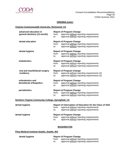

#### **VIRGINIA (cont.)**

#### **Virginia Commonwealth University, Richmond, VA**

| advanced education in<br>general dentistry (12-month) | from:             | <b>Report of Program Change</b><br>approval without reporting requirements |  |  |
|-------------------------------------------------------|-------------------|----------------------------------------------------------------------------|--|--|
|                                                       | to:               | approval without reporting requirements                                    |  |  |
| dental education                                      |                   | <b>Report of Program Change</b>                                            |  |  |
|                                                       | from:             | approval without reporting requirements                                    |  |  |
|                                                       | to:               | approval without reporting requirements                                    |  |  |
| dental hygiene                                        |                   | <b>Report of Program Change</b>                                            |  |  |
|                                                       | from:             | approval without reporting requirements                                    |  |  |
|                                                       | to:               | approval without reporting requirements                                    |  |  |
| endodontics                                           |                   | <b>Report of Program Change</b>                                            |  |  |
|                                                       | from:             | approval without reporting requirements                                    |  |  |
|                                                       | to:               | approval without reporting requirements                                    |  |  |
| oral and maxillofacial surgery                        |                   | <b>Report of Program Change</b>                                            |  |  |
| residency                                             | from:             | approval without reporting requirements (3)                                |  |  |
|                                                       | to:               | approval without reporting requirements (3)                                |  |  |
| orthodontics and                                      |                   | <b>Report of Program Change</b>                                            |  |  |
| dentofacial orthopedics                               | from:             | approval without reporting requirements                                    |  |  |
|                                                       | to:               | approval without reporting requirements                                    |  |  |
| periodontics                                          |                   | <b>Report of Program Change</b>                                            |  |  |
|                                                       | from:             | approval without reporting requirements                                    |  |  |
|                                                       | to:               | approval without reporting requirements                                    |  |  |
| Northern Virginia Community College, Springfield, VA  |                   |                                                                            |  |  |
| dental hygiene                                        |                   | Report of Interruption of Education for the Class of 2021                  |  |  |
|                                                       | from:             | approval without reporting requirements                                    |  |  |
|                                                       | to:               | approval without reporting requirements                                    |  |  |
| dental hygiene                                        |                   | <b>Report of Program Change</b>                                            |  |  |
|                                                       | from:             | approval without reporting requirements                                    |  |  |
|                                                       | to:               | approval without reporting requirements                                    |  |  |
|                                                       | <b>WASHINGTON</b> |                                                                            |  |  |
|                                                       |                   |                                                                            |  |  |

## **Pima Medical Institute-Seattle, Seattle, WA**

| dental hygiene | <b>Report of Program Change</b> |                                         |  |
|----------------|---------------------------------|-----------------------------------------|--|
|                | from:                           | approval without reporting requirements |  |
|                | to:                             | approval without reporting requirements |  |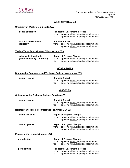

#### **WASHINGTON (cont.)**

#### **University of Washington, Seattle, WA**

| dental education                    | from:<br>to: | <b>Request for Enrollment Increase</b><br>approval without reporting requirements<br>approval without reporting requirements |
|-------------------------------------|--------------|------------------------------------------------------------------------------------------------------------------------------|
| oral and maxillofacial<br>radiology | from:<br>to: | <b>Site Visit Report</b><br>approval without reporting requirements<br>approval without reporting requirements               |

#### **Yakima Valley Farm Workers Clinic, Yakima, WA**

| advanced education in        |       | <b>Report of Program Change</b>         |
|------------------------------|-------|-----------------------------------------|
| general dentistry (12-month) | from: | approval without reporting requirements |
|                              | to:   | approval without reporting requirements |

#### **WEST VIRGINIA**

#### **BridgeValley Community and Technical College, Montgomery, WV**

#### **dental hygiene Site Visit Report** from: approval without reporting requirements<br>to: approval without reporting requirements approval without reporting requirements

#### **WISCONSIN**

#### **Chippewa Valley Technical College, Eau Claire, WI**

| dental hygiene | <b>Site Visit Report</b> |                                         |
|----------------|--------------------------|-----------------------------------------|
|                | trom:                    | approval without reporting requirements |
|                |                          | approval without reporting requirements |

#### **Northeast Wisconsin Technical College, Green Bay, WI**

| dental assisting                           | <b>Report of Program Change</b> |                                         |  |
|--------------------------------------------|---------------------------------|-----------------------------------------|--|
|                                            | from:                           | approval without reporting requirements |  |
|                                            | to:                             | approval without reporting requirements |  |
| dental hygiene                             |                                 | <b>Report of Program Change</b>         |  |
|                                            | from:                           | approval without reporting requirements |  |
|                                            | to:                             | approval without reporting requirements |  |
| <b>Marquette University, Milwaukee, WI</b> |                                 |                                         |  |

| periodontics | <b>Report of Program Change</b>                  |  |
|--------------|--------------------------------------------------|--|
|              | approval without reporting requirements<br>from: |  |
|              | approval without reporting requirements<br>to:   |  |
| periodontics | <b>Request for Enrollment Increase</b>           |  |
|              | approval without reporting requirements<br>from: |  |
|              | approval without reporting requirements<br>to:   |  |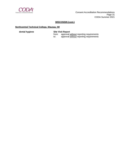

#### **WISCONSIN (cont.)**

#### **Northcentral Technical College, Wausau, WI**

**dental hygiene Site Visit Report**

from: approval without reporting requirements to: approval without reporting requirements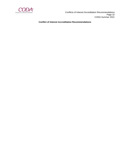

**Conflict of Interest Accreditation Recommendations**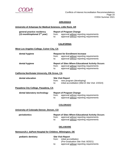

 Conflicts of Interest Accreditation Recommendations Page 33 CODA Summer 2021

#### **ARKANSAS**

#### **University of Arkansas for Medical Sciences, Little Rock, AR**

| general practice residency        | <b>Report of Program Change</b> |                                         |
|-----------------------------------|---------------------------------|-----------------------------------------|
| $(12$ -month/optional $2nd$ year) | trom:                           | approval without reporting requirements |
|                                   | to:                             | approval without reporting requirements |

#### **CALIFORNIA**

#### **West Los Angeles College, Culver City, CA**

| dental hygiene | <b>Request for Enrollment Increase</b>                                                             |  |  |
|----------------|----------------------------------------------------------------------------------------------------|--|--|
|                | approval without reporting requirements<br>from:                                                   |  |  |
|                | approval without reporting requirements<br>to:                                                     |  |  |
| dental hygiene |                                                                                                    |  |  |
|                | <b>Report of Sites Where Educational Activity Occurs</b>                                           |  |  |
|                | approval without reporting requirements<br>from:<br>approval without reporting requirements<br>to: |  |  |

#### **California Northstate University, Elk Grove, CA**

| dental education | <b>Site Visit Report</b> |                                                                               |  |
|------------------|--------------------------|-------------------------------------------------------------------------------|--|
|                  | from:                    | new program (developing)<br>initial accreditation (Mid-IA Site Visit: 2/2024) |  |

#### **Pasadena City College, Pasadena, CA**

| dental laboratory technology | <b>Report of Program Change</b> |                                         |
|------------------------------|---------------------------------|-----------------------------------------|
|                              | from:                           | approval without reporting requirements |
|                              | to:                             | approval without reporting requirements |

#### **COLORADO**

#### **University of Colorado Denver, Denver, CO**

## **Periodontics**<br>**Report of Sites Where Educational Activity Occurs**<br>**From:** approval without reporting requirements from: approval without reporting requirements<br>to: approval without reporting requirements

approval without reporting requirements

#### **DELAWARE**

#### **Nemours/A.I. duPont Hospital for Children, Wilmington, DE**

| pediatric dentistry | <b>Site Visit Report</b> |                                         |
|---------------------|--------------------------|-----------------------------------------|
|                     | from:                    | initial accreditation                   |
|                     |                          | (Pre-Graduation Site Visit: 8/2021)     |
|                     | to:                      | approval without reporting requirements |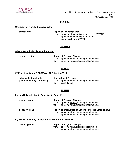

 Conflicts of Interest Accreditation Recommendations Page 34 CODA Summer 2021

#### **FLORIDA**

#### **University of Florida, Gainesville, FL**

## **periodontics Report of Noncompliance**

from: approval with reporting requirements (2/2022) to: approval with reporting requirements: approval with reporting requirements; intent to withdraw (2/2022)

#### **GEORGIA**

#### **Albany Technical College, Albany, GA**

**dental assisting** 

|       | <b>Report of Program Change</b>         |
|-------|-----------------------------------------|
| from: | approval without reporting requirements |
| to:   | approval without reporting requirements |

#### **ILLINOIS**

#### **375th Medical Group/SGDR/Scott AFB, Scott AFB, IL**

**advanced education in** Discontinued Program<br> **general dentistry (12-month)** from: approval without **from:** approval <u>without</u> reporting requirements<br>to: discontinued discontinued

#### **INDIANA**

#### **Indiana University South Bend, South Bend, IN**

| dental hygiene | <b>Report of Program Change</b><br>approval without reporting requirements<br>from:<br>approval without reporting requirements<br>to:                           |
|----------------|-----------------------------------------------------------------------------------------------------------------------------------------------------------------|
| dental hygiene | Report of Interruption of Education for the Class of 2021<br>approval without reporting requirements<br>from:<br>approval without reporting requirements<br>to: |

#### **Ivy Tech Community College-South Bend, South Bend, IN**

**dental hygiene Report of Program Change** 

from: approval without reporting requirements

to: approval without reporting requirements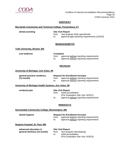

 Conflicts of Interest Accreditation Recommendations Page 35 CODA Summer 2021

#### **KENTUCKY**

#### **Big Sandy Community and Technical College, Prestonburg, KY**

**dental assisting Site Visit Report** from: new program (fully operational) to: approval with reporting requirements (2/2023)

#### **MASSACHUSETTS**

#### **Tufts University, Boston, MA**

**oral medicine Complaint**<br>**from:** approaches approval without reporting requirements to: approval without reporting requirements

#### **MICHIGAN**

#### **University of Michigan, Ann Arbor, MI**

| general practice residency | <b>Request for Enrollment Increase</b> |                                         |
|----------------------------|----------------------------------------|-----------------------------------------|
| $(12$ -month)              | trom:                                  | approval without reporting requirements |
|                            | to:                                    | approval without reporting requirements |

#### **University of Michigan Health Systems, Ann Arbor, MI**

#### **orofacial pain Site Visit Report**

from: initial accreditation (Pre-Graduation Site Visit: 8/2021)

to: approval without reporting requirements

#### **MINNESOTA**

#### **Normandale Community College, Bloomington, MN**

#### **dental hygiene Request for Enrollment Increase**

from: approval without reporting requirements

to: approval without reporting requirements

#### **Regions Hospital, St. Paul, MN**

**advanced education in Site Visit Report**<br>**general dentistry (12-month)** from: new progr

from: new program (developing)

- to: initial accreditation
	- (Pre-Graduation Site Visit: 8/2023)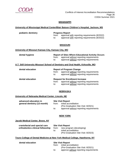

 Conflicts of Interest Accreditation Recommendations Page 36 CODA Summer 2021

#### **MISSISSIPPI**

#### **University of Mississippi Medical Center/Blair Batson Children's Hospital, Jackson, MS**

**pediatric dentistry Progress Report**  from: approval with reporting requirements (8/2022) to: approval with reporting requirements (8/2022)

#### **MISSOURI**

#### **University of Missouri Kansas City, Kansas City, MO**

| dental hygiene |              | <b>Report of Sites Where Educational Activity Occurs</b>                           |  |  |
|----------------|--------------|------------------------------------------------------------------------------------|--|--|
|                | from:<br>to: | approval without reporting requirements<br>approval without reporting requirements |  |  |

#### **A.T. Still University Missouri School of Dentistry and Oral Health, Kirksville, MO**

| dental education | from:<br>to: | <b>Report of Program Change</b><br>approval without reporting requirements<br>approval without reporting requirements        |
|------------------|--------------|------------------------------------------------------------------------------------------------------------------------------|
| dental education | from:<br>to: | <b>Request for Enrollment Increase</b><br>approval without reporting requirements<br>approval without reporting requirements |

#### **NEBRASKA**

#### **University of Nebraska Medical Center, Lincoln, NE**

| advanced education in        | <b>Site Visit Report</b> |                                         |
|------------------------------|--------------------------|-----------------------------------------|
| general dentistry (12-month) | from:                    | initial accreditation                   |
|                              |                          | (Pre-Graduation Site Visit: 8/2021)     |
|                              | to:                      | approval without reporting requirements |

#### **NEW YORK**

#### **Jacobi Medical Center, Bronx, NY**

 **craniofacial and special care Site Visit Report**

## from: new program (developing)

to: initial accreditation

(Pre-Graduation Site Visit: 8/2023)

#### **Touro College of Dental Medicine at New York Medical College, Hawthorne, NY**

**dental education Site Visit Report**

| from: | initial accreditation                  |
|-------|----------------------------------------|
|       | (Pre-Graduation Site Visit: 8/2021)    |
| to:   | approve without reporting requirements |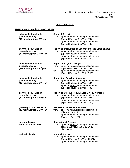

### **NEW YORK (cont.)**

#### **NYU Langone Hospitals, New York, NY**

| advanced education in<br>general dentistry<br>$(12$ -month/optional $2nd$ year)        | <b>Site Visit Report</b><br>from:<br>approval without reporting requirements<br>(Special Focused Site Visit: TBD)<br>approval without reporting requirements<br>to:<br>(Special Focused Site Visit: TBD)                                  |
|----------------------------------------------------------------------------------------|-------------------------------------------------------------------------------------------------------------------------------------------------------------------------------------------------------------------------------------------|
| advanced education in<br>general dentistry<br>(12-month/optional 2 <sup>nd</sup> year) | Report of Interruption of Education for the Class of 2021<br>approval without reporting requirements<br>from:<br>(Special Focused Site Visit: TBD)<br>approval without reporting requirements<br>to:<br>(Special Focused Site Visit: TBD) |
| advanced education in<br>general dentistry<br>(12-month/optional 2 <sup>nd</sup> year) | <b>Report of Program Change</b><br>from:<br>approval without reporting requirements<br>(Special Focused Site Visit: TBD)<br>approval without reporting requirements<br>to:<br>(Special Focused Site Visit: TBD)                           |
| advanced education in<br>general dentistry<br>(12-month/optional 2 <sup>nd</sup> year) | <b>Request for Enrollment Increase</b><br>approval without reporting requirements<br>from:<br>(Special Focused Site Visit: TBD)<br>approval without reporting requirements<br>to:<br>(Special Focused Site Visit: TBD)                    |
| advanced education in<br>general dentistry<br>(12-month/optional 2 <sup>nd</sup> year) | <b>Report of Sites Where Educational Activity Occurs</b><br>approval without reporting requirements<br>from:<br>(Special Focused Site Visit: TBD)<br>approval without reporting requirements<br>to:<br>(Special Focused Site Visit: TBD)  |
| general practice residency<br>(12-month/optional 2 <sup>nd</sup> year)                 | <b>Request for Enrollment Increase</b><br>approval without reporting requirements<br>from:<br>(Site Visit Date: 2022)<br>approval without reporting requirements<br>to:<br>(Site Visit Date: 2022)                                        |
| orthodontics and<br>dentofacial orthopedics                                            | <b>Discontinued Program</b><br>approval without reporting requirements<br>from:<br>(Teach-Out through July 23, 2021)<br>discontinued<br>to:                                                                                               |
| pediatric dentistry                                                                    | <b>Site Visit Report</b><br>from:<br>approval without reporting requirements<br>(Special Focused Site Visit: 8/2021)<br>approval without reporting requirements<br>to:                                                                    |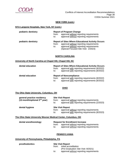

#### **NEW YORK (cont.)**

#### **NYU Langone Hospitals, New York, NY (cont.)**

| pediatric dentistry | <b>Report of Program Change</b><br>approval without reporting requirements<br>from:<br>approval without reporting requirements<br>to:                                                                  |  |
|---------------------|--------------------------------------------------------------------------------------------------------------------------------------------------------------------------------------------------------|--|
| pediatric dentistry | <b>Report of Sites Where Educational Activity Occurs</b><br>approval without reporting requirements<br>from:<br>approval without reporting requirements<br>to:<br>(Special Focused Site Visit: 2/2023) |  |

#### **NORTH CAROLINA**

#### **University of North Carolina at Chapel Hill, Chapel Hill, NC**

| dental education | <b>Report of Sites Where Educational Activity Occurs</b><br>approval with reporting requirements (8/2022)<br>from:<br>approval with reporting requirements (8/2022)<br>to: |
|------------------|----------------------------------------------------------------------------------------------------------------------------------------------------------------------------|
| dental education | <b>Report of Noncompliance</b><br>approval with reporting requirements (8/2022)<br>from:                                                                                   |
|                  | approval with reporting requirements (8/2022)<br>to:                                                                                                                       |

#### **OHIO**

#### **The Ohio State University, Columbus, OH**

| general practice residency<br>(12-month/optional 2 <sup>nd</sup> year) | from:<br>to: | <b>Site Visit Report</b><br>approval without reporting requirements<br>approval with reporting requirements (2/2023) |
|------------------------------------------------------------------------|--------------|----------------------------------------------------------------------------------------------------------------------|
| dental hygiene                                                         | from:<br>to: | <b>Site Visit Report</b><br>approval without reporting requirements<br>approval with reporting requirements (8/2023) |

#### **The Ohio State University Wexner Medical Center, Columbus, OH**

| dental anesthesiology | <b>Request for Enrollment Increase</b> |                                               |
|-----------------------|----------------------------------------|-----------------------------------------------|
|                       |                                        | from: approval without reporting requirements |
|                       | to:                                    | approval without reporting requirements       |

#### **PENNSYLVANIA**

#### **University of Pennsylvania, Philadelphia, PA**

| prosthodontics |       | <b>Site Visit Report</b>                |  |
|----------------|-------|-----------------------------------------|--|
|                | from: | initial accreditation                   |  |
|                |       | (Pre-Graduation Site Visit: 8/2021)     |  |
|                | to:   | approval without reporting requirements |  |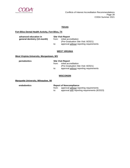

 Conflicts of Interest Accreditation Recommendations Page 39 CODA Summer 2021

#### **TEXAS**

#### **Fort Bliss Dental Health Activity, Fort Bliss, TX**

| advanced education in        |       | <b>Site Visit Report</b>                                     |  |
|------------------------------|-------|--------------------------------------------------------------|--|
| general dentistry (12-month) | from: | initial accreditation<br>(Pre-Graduation Site Visit: 8/2021) |  |
|                              | to:   | approval without reporting requirements                      |  |

#### **WEST VIRGINIA**

#### **West Virginia University, Morgantown, WV**

 **periodontics Site Visit Report**

from: initial accreditation (Pre-Graduation Site Visit: 8/2021) to: approval without reporting requirements

#### **WISCONSIN**

#### **Marquette University, Milwaukee, WI**

#### **endodontics Report of Noncompliance**

from: approval <u>without</u> reporting requirements<br>to: approval with reporting requirements (8/2 approval with reporting requirements (8/2023)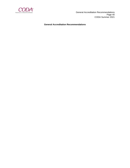

 General Accreditation Recommendations Page 40 CODA Summer 2021

**General Accreditation Recommendations**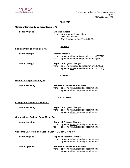

#### **ALABAMA**

#### **Calhoun Community College, Decatur, AL**

| dental hygiene |     | <b>Site Visit Report</b>            |  |
|----------------|-----|-------------------------------------|--|
|                |     | from: new program (developing)      |  |
|                | to: | initial accreditation               |  |
|                |     | (Pre-Graduation Site Visit: 8/2023) |  |

#### **ALASKA**

#### **Ilisagvik College, Utqiagvik, AK**

| dental therapy | <b>Progress Report</b> |                                               |  |
|----------------|------------------------|-----------------------------------------------|--|
|                | from:                  | approval with reporting requirements (8/2022) |  |
|                | to:                    | approval with reporting requirements (8/2022) |  |
|                |                        |                                               |  |
| dental therapy |                        | <b>Report of Program Change</b>               |  |
|                | from:                  | approval with reporting requirements (8/2022) |  |
|                | to:                    | approval with reporting requirements (8/2022) |  |
|                |                        |                                               |  |

#### **ARIZONA**

#### **Phoenix College, Phoenix, AZ**

| dental assisting | <b>Request for Enrollment Increase</b> |                                               |
|------------------|----------------------------------------|-----------------------------------------------|
|                  |                                        | from: approval without reporting requirements |
|                  | to:                                    | approval without reporting requirements       |

#### **CALIFORNIA**

| College of Alameda, Alameda, CA                        |                 |                                                                                                                              |
|--------------------------------------------------------|-----------------|------------------------------------------------------------------------------------------------------------------------------|
| dental assisting                                       | from:<br>to:    | <b>Report of Program Change</b><br>approval without reporting requirements<br>approval without reporting requirements        |
| Orange Coast College, Costa Mesa, CA                   |                 |                                                                                                                              |
| dental assisting                                       | from:<br>to: to | <b>Report of Program Change</b><br>approval without reporting requirements<br>approval without reporting requirements        |
| Concorde Career College-Garden Grove, Garden Grove, CA |                 |                                                                                                                              |
| dental hygiene                                         | from:<br>to:    | <b>Report of Program Change</b><br>approval without reporting requirements<br>approval without reporting requirements        |
| dental hygiene                                         | from:<br>to:    | <b>Request for Enrollment Increase</b><br>approval without reporting requirements<br>approval without reporting requirements |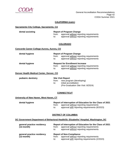

#### **CALIFORNIA (cont.)**

#### **Sacramento City College, Sacramento, CA**

| dental assisting | <b>Report of Program Change</b> |                                         |
|------------------|---------------------------------|-----------------------------------------|
|                  | trom:                           | approval without reporting requirements |
|                  | to:                             | approval without reporting requirements |

#### **COLORADO**

#### **Concorde Career College-Aurora, Aurora, CO**

| dental hygiene                           | from:<br>to: | <b>Report of Program Change</b><br>approval without reporting requirements<br>approval without reporting requirements        |
|------------------------------------------|--------------|------------------------------------------------------------------------------------------------------------------------------|
| dental hygiene                           | from:<br>to: | <b>Request for Enrollment Increase</b><br>approval without reporting requirements<br>approval without reporting requirements |
| Denver Health Medical Center, Denver, CO |              |                                                                                                                              |

| pediatric dentistry |     | <b>Site Visit Report</b>            |  |  |
|---------------------|-----|-------------------------------------|--|--|
|                     |     | from: new program (developing)      |  |  |
|                     | t∩: | initial accreditation               |  |  |
|                     |     | (Pre-Graduation Site Visit: 8/2024) |  |  |

#### **CONNECTICUT**

#### **University of New Haven, West Haven, CT**

| dental hygiene | Report of Interruption of Education for the Class of 2021 |                                               |
|----------------|-----------------------------------------------------------|-----------------------------------------------|
|                | from:                                                     | approval without reporting requirements       |
|                | to:                                                       | approval with reporting requirements (8/2023) |

#### **DISTRICT OF COLUMBIA**

#### **DC Government Department of Behavioral Health/St. Elizabeths' Hospital, Washington, DC**

| general practice residency<br>$(12$ -month $)$ | from:<br>to: | Report of Interruption of Education for the Class of 2021<br>approval without reporting requirements<br>approval without reporting requirements |
|------------------------------------------------|--------------|-------------------------------------------------------------------------------------------------------------------------------------------------|
| general practice residency<br>$(12$ -month $)$ | from:<br>to: | <b>Report of Non-Compliance</b><br>approval without reporting requirements<br>approval with reporting requirements (2/2023)                     |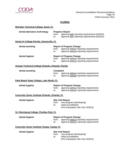

### **FLORIDA**

| <b>McFatter Technical College, Davie, FL</b>       |                                  |                                                                                                                          |
|----------------------------------------------------|----------------------------------|--------------------------------------------------------------------------------------------------------------------------|
| dental laboratory technology                       | from:<br>to:                     | <b>Progress Report</b><br>approval with reporting requirements (8/2022)<br>approval with reporting requirements (8/2022) |
| Santa Fe College-Florida, Gainesville, FL          |                                  |                                                                                                                          |
| dental assisting                                   | from:<br>to:                     | <b>Report of Program Change</b><br>approval without reporting requirements<br>approval without reporting requirements    |
| dental hygiene                                     | from:<br>to:                     | <b>Report of Program Change</b><br>approval without reporting requirements<br>approval without reporting requirements    |
| Orange Technical College-Orlando, Orlando, Florida |                                  |                                                                                                                          |
| dental assisting                                   | <b>Complaint</b><br>from:<br>to: | approval without reporting requirements<br>approval without reporting requirements                                       |
| Palm Beach State College, Lake Worth, FL           |                                  |                                                                                                                          |
| dental hygiene                                     | from:<br>to:                     | <b>Report of Program Change</b><br>approval without reporting requirements<br>approval without reporting requirements    |
| Concorde Career Institute-Orlando, Orlando, FL     |                                  |                                                                                                                          |
| dental hygiene                                     | from:<br>to:                     | <b>Site Visit Report</b><br>new program (developing)<br>initial accreditation<br>(Pre-Graduation Site Visit: 8/2023)     |
| St. Petersburg College, Pinellas Park, FL          |                                  |                                                                                                                          |
| dental hygiene                                     | from:<br>to:                     | <b>Report of Program Change</b><br>approval without reporting requirements<br>approval without reporting requirements    |
| Concorde Career Institute-Tampa, Tampa, FL         |                                  |                                                                                                                          |
| dental hygiene                                     | from:<br>to:                     | <b>Site Visit Report</b><br>new program (developing)<br>initial accreditation<br>(Pre-Graduation Site Visit: 8/2023)     |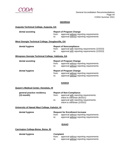

#### **GEORGIA**

#### **Augusta Technical College, Augusta, GA**

| dental assisting                                         | <b>Report of Program Change</b> |                                               |
|----------------------------------------------------------|---------------------------------|-----------------------------------------------|
|                                                          | from:                           | approval without reporting requirements       |
|                                                          | to: to                          | approval without reporting requirements       |
|                                                          |                                 |                                               |
| <u>West Georgia Technical College, Douglasville, GA</u>  |                                 |                                               |
| dental hygiene                                           |                                 | <b>Report of Noncompliance</b>                |
|                                                          | from:                           | approval with reporting requirements (2/2023) |
|                                                          | to:                             | approval with reporting requirements (2/2023) |
|                                                          |                                 |                                               |
| <u>Wiregrass Georgia Technical College, Valdosta, GA</u> |                                 |                                               |
| dental assisting                                         |                                 | <b>Report of Program Change</b>               |
|                                                          | from:                           | approval without reporting requirements       |
|                                                          | to: to                          | approval without reporting requirements       |
|                                                          |                                 |                                               |
| dental hygiene                                           |                                 | <b>Report of Program Change</b>               |
|                                                          | from:                           | approval without reporting requirements       |
|                                                          | to:                             | approval without reporting requirements       |
|                                                          |                                 |                                               |

#### **HAWAII**

#### **Queen's Medical Center, Honolulu, HI**

| general practice residency | <b>Report of Non-Compliance</b> |                                       |
|----------------------------|---------------------------------|---------------------------------------|
| $(12$ -month)              | from:                           | approval with reporting requirements; |
|                            |                                 | intent to withdraw (8/2021)           |
|                            | to:                             | approval with reporting requirements; |
|                            |                                 | intent to withdraw (2/2022)           |
|                            |                                 |                                       |

#### **University of Hawaii Maui College, Kahului, HI**

| dental hygiene | <b>Request for Enrollment Increase</b> |                                         |
|----------------|----------------------------------------|-----------------------------------------|
|                | from:                                  | approval without reporting requirements |
|                | to:                                    | approval without reporting requirements |

#### **IDAHO**

**Carrington College-Boise, Boise, ID**

**dental hygiene Complaint** 

from: approval without reporting requirements<br>to: approval without reporting requirements approval without reporting requirements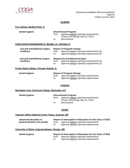

#### **ILLINOIS**

#### **Fox College, Bedford Park, IL**

| dental hygiene                                         | <b>Discontinued Program</b> |                                         |  |
|--------------------------------------------------------|-----------------------------|-----------------------------------------|--|
|                                                        | from:                       | approval without reporting requirements |  |
|                                                        |                             | (Teach-Out through April 22, 2021)      |  |
|                                                        | to:                         | discontinued                            |  |
|                                                        |                             |                                         |  |
| Cook County Hospital/John H. Stroger, Jr., Chicago, IL |                             |                                         |  |

| oral and maxillofacial surgery<br>residency | from:<br>to: | <b>Report of Program Change</b><br>approval without reporting requirements (2)<br>approval without reporting requirements (2)        |
|---------------------------------------------|--------------|--------------------------------------------------------------------------------------------------------------------------------------|
| oral and maxillofacial surgery<br>residency | from:<br>to: | <b>Request for Enrollment Increase</b><br>approval without reporting requirements (2)<br>approval without reporting requirements (2) |

#### **Prairie State College, Chicago Heights, IL**

| dental hygiene | <b>Report of Program Change</b> |                                         |
|----------------|---------------------------------|-----------------------------------------|
|                | from:                           | approval without reporting requirements |
|                | to:                             | approval without reporting requirements |

#### **KANSAS**

#### **Manhattan Area Technical College, Manhattan, KS**

| dental hygiene | <b>Discontinued Program</b> |                                         |
|----------------|-----------------------------|-----------------------------------------|
|                | trom:                       | approval without reporting requirements |
|                |                             | (Teach-Out through May 15, 2021)        |
|                | to:                         | discontinued                            |

#### **MAINE**

#### **Veterans Affairs Medical Center-Togus, Augusta, ME**

| advanced education in        |       | Report of Interruption of Education for the Class of 2021 |
|------------------------------|-------|-----------------------------------------------------------|
| general dentistry (12-month) | from: | approval without reporting requirements                   |
|                              | to:   | approval without reporting requirements                   |

#### **University of Maine Augusta-Bangor, Bangor, ME**

### **dental hygiene Report of Interruption of Education for the Class of 2021** from: approval without reporting requirements

to: approval without reporting requirements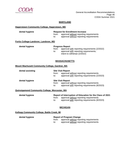

#### **MARYLAND**

#### **Hagerstown Community College, Hagerstown, MD**

| dental hygiene                                 | from:<br>to:             | <b>Request for Enrollment Increase</b><br>approval without reporting requirements<br>approval without reporting requirements                          |  |
|------------------------------------------------|--------------------------|-------------------------------------------------------------------------------------------------------------------------------------------------------|--|
| Fortis College-Landover, Landover, MD          |                          |                                                                                                                                                       |  |
| dental hygiene                                 | from:<br>to:             | <b>Progress Report</b><br>approval with reporting requirements (2/2022)<br>approval with reporting requirements;<br>intent to withdraw (2/2022)       |  |
|                                                |                          | <b>MASSACHUSETTS</b>                                                                                                                                  |  |
| Mount Wachusett Community College, Gardner, MA |                          |                                                                                                                                                       |  |
| dental assisting                               | from:<br>$\mathsf{to}$ : | <b>Site Visit Report</b><br>approval without reporting requirements<br>approval with reporting requirements (2/2023)                                  |  |
| dental hygiene                                 | from:<br>to:             | <b>Site Visit Report</b><br>approval without reporting requirements<br>approval with reporting requirements (8/2023)                                  |  |
| Quinsigamond Community College, Worcester, MA  |                          |                                                                                                                                                       |  |
| dental hygiene                                 | from:<br>to:             | Report of Interruption of Education for the Class of 2021<br>approval without reporting requirements<br>approval with reporting requirements (8/2023) |  |
|                                                |                          | <b>MICHIGAN</b>                                                                                                                                       |  |

### **Kellogg Community College, Battle Creek, MI**

| dental hygiene | <b>Report of Program Change</b> |                                               |
|----------------|---------------------------------|-----------------------------------------------|
|                |                                 | from: approval without reporting requirements |
|                | to:                             | approval without reporting requirements       |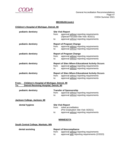

#### **MICHIGAN (cont.)**

#### **Children's Hospital of Michigan, Detroit, MI**

| <b>Site Visit Report</b> |                                                          |
|--------------------------|----------------------------------------------------------|
| from:                    | approval without reporting requirements                  |
|                          | (Special Focused Site Visit: 8/2021)                     |
|                          | approval without reporting requirements                  |
|                          | <b>Report of Program Change</b>                          |
| from:                    | approval without reporting requirements                  |
| to:                      | approval without reporting requirements                  |
|                          | <b>Report of Program Change</b>                          |
| from:                    | approval without reporting requirements                  |
| to:                      | approval without reporting requirements                  |
|                          | <b>Report of Sites Where Educational Activity Occurs</b> |
| from:                    | approval without reporting requirements                  |
| to:                      | approval without reporting requirements                  |
|                          | <b>Report of Sites Where Educational Activity Occurs</b> |
| from:                    | approval without reporting requirements                  |
| to:                      | approval without reporting requirements                  |
|                          | to:                                                      |

#### **From: Children's Hospital of Michigan, Detroit, MI To: Detroit Receiving Hospital, Detroit, MI**

| pediatric dentistry          | from:<br>to: | <b>Transfer of Sponsorship</b><br>approval without reporting requirements<br>approval without reporting requirements                |
|------------------------------|--------------|-------------------------------------------------------------------------------------------------------------------------------------|
| Jackson College, Jackson, MI |              |                                                                                                                                     |
| dental hygiene               | from:<br>to: | <b>Site Visit Report</b><br>initial accreditation<br>(Pre-Graduation Site Visit: 8/2021)<br>approval without reporting requirements |

#### **MINNESOTA**

#### **South Central College, Mankato, MN**

| dental assisting |     | <b>Report of Noncompliance</b>                |  |
|------------------|-----|-----------------------------------------------|--|
|                  |     | from: approval without reporting requirements |  |
|                  | to: | approval with reporting requirements (2/2023) |  |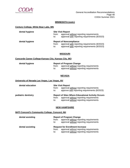

**dental hygiene** 

#### **MINNESOTA (cont.)**

#### **Century College, White Bear Lake, MN**

| dental hygiene | <b>Site Visit Report</b><br>approval without reporting requirements<br>from:<br>approval with reporting requirements (8/2023)<br>to:             |
|----------------|--------------------------------------------------------------------------------------------------------------------------------------------------|
| dental hygiene | <b>Report of Noncompliance</b><br>approval with reporting requirements (8/2023)<br>from:<br>approval with reporting requirements (8/2023)<br>to: |

#### **MISSOURI**

#### **Concorde Career College-Kansas City, Kansas City, MO**

|     | <b>Report of Program Change</b>               |  |  |
|-----|-----------------------------------------------|--|--|
|     | from: approval without reporting requirements |  |  |
| to: | approval without reporting requirements       |  |  |

#### **NEVADA**

#### **University of Nevada Las Vegas, Las Vegas, NV**

| dental education    | from:<br>to: | <b>Site Visit Report</b><br>approval without reporting requirements<br>approve with reporting requirements (8/2023)                            |
|---------------------|--------------|------------------------------------------------------------------------------------------------------------------------------------------------|
| pediatric dentistry | from:<br>to: | <b>Report of Sites Where Educational Activity Occurs</b><br>approval without reporting requirements<br>approval without reporting requirements |

#### **NEW HAMPSHIRE**

#### **NHTI Concord's Community College, Concord, NH**

| dental assisting | from:<br>to: | <b>Report of Program Change</b><br>approval without reporting requirements<br>approval without reporting requirements        |
|------------------|--------------|------------------------------------------------------------------------------------------------------------------------------|
| dental assisting | from:<br>to: | <b>Request for Enrollment Increase</b><br>approval without reporting requirements<br>approval without reporting requirements |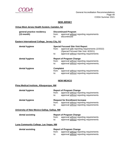

#### **NEW JERSEY**

#### **Virtua West Jersey Health System, Camden, NJ**

| general practice residency                     |                  | <b>Discontinued Program</b>                                                           |  |  |
|------------------------------------------------|------------------|---------------------------------------------------------------------------------------|--|--|
| $(12$ -month)                                  | from:            | approval without reporting requirements                                               |  |  |
|                                                | to:              | discontinued                                                                          |  |  |
| Eastern International College, Jersey City, NJ |                  |                                                                                       |  |  |
| dental hygiene                                 |                  | <b>Special Focused Site Visit Report</b>                                              |  |  |
|                                                | from:            | approval with reporting requirements (2/2022)<br>(Special Focused Site Visit: 8/2021) |  |  |
|                                                | to:              | approval without reporting requirements                                               |  |  |
| dental hygiene                                 |                  | <b>Report of Program Change</b>                                                       |  |  |
|                                                | from:            | approval without reporting requirements                                               |  |  |
|                                                | to:              | approval without reporting requirements;                                              |  |  |
| dental hygiene                                 | <b>Complaint</b> |                                                                                       |  |  |
|                                                | from:            | approval without reporting requirements                                               |  |  |
|                                                | to:              | approval without reporting requirements                                               |  |  |

#### **NEW MEXICO**

#### **Pima Medical Institute, Albuquerque, NM**

| dental hygiene | from:<br>to: | <b>Report of Program Change</b><br>approval without reporting requirements<br>approval without reporting requirements        |
|----------------|--------------|------------------------------------------------------------------------------------------------------------------------------|
| dental hygiene | from:<br>to: | <b>Request for Enrollment Increase</b><br>approval without reporting requirements<br>approval without reporting requirements |

#### **University of New Mexico-Gallup, Gallup, NM**

| dental assisting | <b>Report of Program Change</b> |                                               |
|------------------|---------------------------------|-----------------------------------------------|
|                  |                                 | from: approval without reporting requirements |
|                  | to:                             | approval without reporting requirements       |

#### **Luna Community College, Las Vegas, NM**

| dental assisting | <b>Report of Program Change</b> |                                         |
|------------------|---------------------------------|-----------------------------------------|
|                  | trom:                           | approval without reporting requirements |
|                  | to:                             | approval without reporting requirements |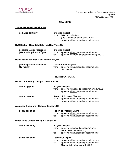

#### **NEW YORK**

#### **Jamaica Hospital, Jamaica, NY**

| pediatric dentistry                                                    | from:        | <b>Site Visit Report</b><br>initial accreditation<br>(Pre-Graduation Site Visit: 8/2021)                             |  |
|------------------------------------------------------------------------|--------------|----------------------------------------------------------------------------------------------------------------------|--|
|                                                                        | to:          | approval without reporting requirements                                                                              |  |
| NYC Health + Hospitals/Bellevue, New York, NY                          |              |                                                                                                                      |  |
| general practice residency<br>(12-month/optional 2 <sup>nd</sup> year) | from:<br>to: | <b>Site Visit Report</b><br>approval without reporting requirements<br>approval with reporting requirements (2/2023) |  |
| Helen Hayes Hospital, West Haverstraw, NY                              |              |                                                                                                                      |  |
| general practice residency<br>(12-month)                               | from:        | <b>Discontinued Program</b><br>approval without reporting requirements                                               |  |

## to: discontinued

#### **NORTH CAROLINA**

#### **Wayne Community College, Goldsboro, NC**

| dental hygiene | <b>Progress Report</b><br>approval with reporting requirements (8/2022)<br>from:<br>approval without reporting requirements<br>to:    |  |
|----------------|---------------------------------------------------------------------------------------------------------------------------------------|--|
| dental hygiene | <b>Report of Program Change</b><br>approval without reporting requirements<br>from:<br>approval without reporting requirements<br>to: |  |

#### **Alamance Community College, Graham, NC**

| dental assisting | <b>Report of Program Change</b> |                                         |  |
|------------------|---------------------------------|-----------------------------------------|--|
|                  | trom:                           | approval without reporting requirements |  |
|                  | to:                             | approval without reporting requirements |  |

#### **Miller-Motte College-Raleigh, Raleigh, NC**

| dental assisting | from:<br>to: | <b>Progress Report</b><br>approval with reporting requirements;<br>intent to withdraw (8/2021)<br>approval without reporting requirements         |
|------------------|--------------|---------------------------------------------------------------------------------------------------------------------------------------------------|
| dental assisting | from:<br>to: | <b>Teach-Out Report</b><br>approval without reporting requirements<br>approval without reporting requirements<br>(Teach-Out through July 3, 2022) |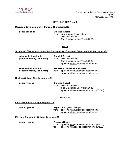

#### **NORTH CAROLINA (cont.)**

#### **Davidson-Davie Community College, Thomasville, NC**

#### **dental assisting Site Visit Report**

from: new program (developing)<br>to: initial accreditation initial accreditation (Pre-Graduation Site Visit: 8/2022)

#### **OHIO**

#### **St. Vincent Charity Medical Center, Cleveland, OH/Cleveland Dental Institute, Cleveland, OH**

| advanced education in        | <b>Site Visit Report</b> |                                         |
|------------------------------|--------------------------|-----------------------------------------|
| general dentistry (24-month) | from:                    | initial accreditation                   |
|                              |                          | (Pre-Graduation Site Visit: 8/2021)     |
|                              | to:                      | approval without reporting requirements |
| advanced education in        |                          | <b>Request for Enrollment Increase</b>  |
| general dentistry (24-month) | from:                    | approval without reporting requirements |
|                              | to:                      | approval without reporting requirements |

#### **Hocking College, New Lexington, OH**

| dental hygiene |
|----------------|
|                |

| dental hygiene |       | <b>Site Visit Report</b>                      |  |
|----------------|-------|-----------------------------------------------|--|
|                | trom: | initial accreditation                         |  |
|                |       | (Pre-Graduation Site Visit: 8/2021)           |  |
|                | to:   | approval with reporting requirements (8/2023) |  |

#### **OREGON**

#### **Lane Community College, Eugene, OR**

| dental hygiene | <b>Report of Program Change</b> |                                                                                    |
|----------------|---------------------------------|------------------------------------------------------------------------------------|
|                | from:<br>to:                    | approval without reporting requirements<br>approval without reporting requirements |

#### **Mt. Hood Community College, Gresham, OR**

| dental hygiene |  |
|----------------|--|
|----------------|--|

#### **Progress Report**

from: approval with reporting requirements (8/2022)

to: approval with reporting requirements (8/2022)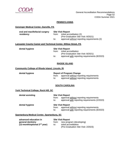

#### **PENNSYLVANIA**

#### **Geisinger Medical Center, Danville, PA**

| oral and maxillofacial surgery | <b>Site Visit Report</b> |                                             |
|--------------------------------|--------------------------|---------------------------------------------|
| residency                      | from:                    | initial accreditation (2)                   |
|                                |                          | (Pre-Graduation Site Visit: 8/2021)         |
|                                | to:                      | approval without reporting requirements (2) |

#### **Lancaster County Career and Technical Center, Willow Street, PA**

#### **dental hygiene Site Visit Report** from: initial accreditation (Pre-Graduation Site Visit: 8/2021) to: approval with reporting requirements (8/2023)

#### **RHODE ISLAND**

#### **Community College of Rhode Island, Lincoln, RI**

| dental hygiene |       | <b>Report of Program Change</b>         |
|----------------|-------|-----------------------------------------|
|                | from: | approval without reporting requirements |
|                | to:   | approval without reporting requirements |

#### **SOUTH CAROLINA**

**York Technical College, Rock Hill, SC**

| dental assisting | <b>Site Visit Report</b><br>approval without reporting requirements<br>from:<br>approval with reporting requirements (2/2023)<br>to: |  |
|------------------|--------------------------------------------------------------------------------------------------------------------------------------|--|
| dental hygiene   | <b>Site Visit Report</b><br>approval without reporting requirements<br>from:<br>approval with reporting requirements (8/2023)<br>to: |  |

#### **Spartanburg Medical Center, Spartanburg, SC**

| advanced education in                                  |              | <b>Site Visit Report</b>                                                                 |
|--------------------------------------------------------|--------------|------------------------------------------------------------------------------------------|
| general dentistry<br>$(12$ -month/optional $2nd$ year) | from:<br>to: | new program (developing)<br>initial accreditation<br>(Pre-Graduation Site Visit: 2/2023) |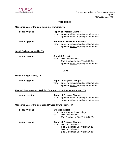

#### **TENNESSEE**

### **Concorde Career College-Memphis, Memphis, TN**

| dental hygiene                                                          | from:<br>to: | <b>Report of Program Change</b><br>approval without reporting requirements<br>approval without reporting requirements                                           |  |
|-------------------------------------------------------------------------|--------------|-----------------------------------------------------------------------------------------------------------------------------------------------------------------|--|
| dental hygiene                                                          | from:<br>to: | <b>Request for Enrollment Increase</b><br>approval without reporting requirements<br>approval without reporting requirements                                    |  |
| South College, Nashville, TN                                            |              |                                                                                                                                                                 |  |
| dental hygiene                                                          | from:<br>to: | <b>Site Visit Report</b><br>initial accreditation<br>(Pre-Graduation Site Visit: 8/2021)<br>approval without reporting requirements                             |  |
|                                                                         |              | <b>TEXAS</b>                                                                                                                                                    |  |
| Dallas College, Dallas, TX                                              |              |                                                                                                                                                                 |  |
| dental hygiene                                                          | from:<br>to: | <b>Report of Program Change</b><br>approval without reporting requirements<br>approval without reporting requirements                                           |  |
| <b>Medical Education and Training Campus, JBSA Fort Sam Houston, TX</b> |              |                                                                                                                                                                 |  |
| dental assisting                                                        | from:<br>to: | <b>Report of Program Change</b><br>approval without reporting requirements<br>approval without reporting requirements                                           |  |
| <b>Concorde Career College-Grand Prairie, Grand Prairie, TX</b>         |              |                                                                                                                                                                 |  |
| dental hygiene                                                          | from:<br>to: | <b>Site Visit Report</b><br>new program (developing)<br>initial accreditation<br>(Pre-Graduation Site Visit: 8/2023)                                            |  |
| dental hygiene                                                          | from:<br>to: | <b>Report of Program Change</b><br>initial accreditation<br>(Pre-Graduation Site Visit: 8/2023)<br>initial accreditation<br>(Pre-Graduation Site Visit: 8/2023) |  |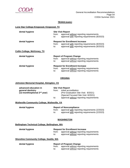

#### **TEXAS (cont.)**

#### **Lone Star College-Kingwood, Kingwood, TX**

| dental hygiene               | from:<br>to: | <b>Site Visit Report</b><br>approval without reporting requirements<br>approval with reporting requirements (8/2023)                     |
|------------------------------|--------------|------------------------------------------------------------------------------------------------------------------------------------------|
| dental hygiene               | from:<br>to: | <b>Request for Enrollment Increase</b><br>approval with reporting requirements (8/2023)<br>approval with reporting requirements (8/2023) |
| Collin College, McKinney, TX |              |                                                                                                                                          |
| dental hygiene               | from:<br>to: | <b>Report of Program Change</b><br>approval without reporting requirements<br>approval without reporting requirements                    |
| dental hygiene               | from:<br>to: | <b>Request for Enrollment Increase</b><br>approval without reporting requirements<br>approval without reporting requirements             |

#### **VIRGINIA**

### **Johnston Memorial Hospital, Abingdon, VA**

| advanced education in             | <b>Site Visit Report</b> |                                         |
|-----------------------------------|--------------------------|-----------------------------------------|
| general dentistry                 | from:                    | initial accreditation                   |
| (12-month/optional $2^{nd}$ year) |                          | (Pre-Graduation Site Visit: 8/2021)     |
|                                   |                          | (Special Focused Site Visit: 8/2021)    |
|                                   | to:                      | approval without reporting requirements |

#### **Wytheville Community College, Wytheville, VA**

| dental hygiene | <b>Report of Noncompliance</b> |                                               |
|----------------|--------------------------------|-----------------------------------------------|
|                | trom:                          | approval with reporting requirements (2/2023) |
|                |                                | approval with reporting requirements (2/2023) |

#### **WASHINGTON**

#### **Bellingham Technical College, Bellingham, WA**

| dental hygiene                                  | <b>Request for Enrollment Increase</b> |                                                                                    |  |
|-------------------------------------------------|----------------------------------------|------------------------------------------------------------------------------------|--|
|                                                 | from:<br>to:                           | approval without reporting requirements<br>approval without reporting requirements |  |
| <b>Shoreline Community College, Seattle, WA</b> |                                        |                                                                                    |  |

| dental hygiene | <b>Report of Program Change</b> |                                               |  |
|----------------|---------------------------------|-----------------------------------------------|--|
|                |                                 | from: approval without reporting requirements |  |
|                | to:                             | approval without reporting requirements       |  |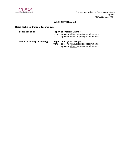

.

#### **WASHINGTON (cont.)**

### **Bates Technical College, Tacoma, WA**

| dental assisting             | from:<br>to: | <b>Report of Program Change</b><br>approval without reporting requirements<br>approval without reporting requirements |
|------------------------------|--------------|-----------------------------------------------------------------------------------------------------------------------|
| dental laboratory technology | from:<br>to: | <b>Report of Program Change</b><br>approval without reporting requirements<br>approval without reporting requirements |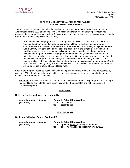

#### **REPORT ON EDUCATIONAL PROGRAMS FAILING TO SUBMIT ANNUAL FEE PAYMENT**

The accredited programs listed below have failed to submit payment to the Commission on Dental Accreditation for the 2021 annual fee. The Commission on Dental Accreditation's policy requires payment of the annual fee as a condition for **continued** participation in the accreditation program. In this regard, the Commission policy states (in part):

All institutions offering programs accredited by the Commission on Dental Accreditation are expected to adhere to the due date for payment of all fees for each accredited program sponsored by the institution. Written requests for an extension must specify a payment date no later than thirty (30) days beyond the initial due date. Failure to pay fees by the designated deadline is viewed as an institutional decision to no longer participate in the Commission's accreditation program. Following appropriate reminder notice(s), if payment or a request for extension is not received, it will be assumed that the institution no longer wishes to participate in the accreditation program. In this event, the Commission will immediately notify the chief executive officer of the institution of its intent to withdraw the accreditation of the program(s) at its next scheduled meeting. Programs which have been discontinued or had accreditation withdrawn will not be issued a refund of accreditation fees.

Each of the programs received notice indicating that if payment for the annual fee was not received by August 2, 2021, the Commission would initiate steps to withdraw the program's accreditation at the Commission's Summer 2021 meeting.

**Resolved**, that the Commission on Dental Accreditation inform the following programs of its change in accreditation status for failing to submit payment of the annual fee and not complying with Commission policy:

#### **NEW YORK**

#### **Helen Hayes Hospital, West Haverstraw, NY**

| general practice residency |     | <b>Failure to Submit Required Fee</b> |
|----------------------------|-----|---------------------------------------|
| $(12$ -month $)$           |     | from: discontinued                    |
|                            | to: | discontinued                          |

#### **PENNSYLVANIA**

#### **St. Joseph's Medical Center, Reading, PA**

| general practice residency |       | <b>Failure to Submit Required Fee</b>         |  |
|----------------------------|-------|-----------------------------------------------|--|
| (12-month)                 | trom: | approval without reporting requirements       |  |
|                            | to:   | approval with reporting requirements (8/2022) |  |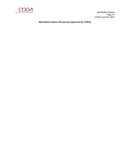

 Mail Ballot Actions Page 57 CODA Summer 2021

**Mail Ballot Actions (Previously Approved by CODA)**